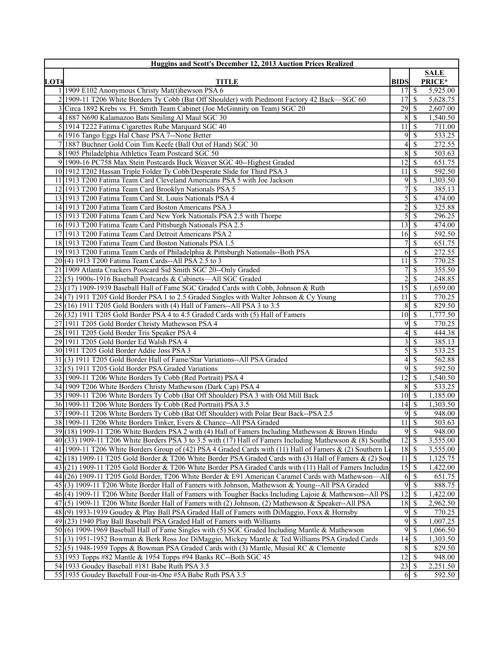|      | <b>Huggins and Scott's December 12, 2013 Auction Prices Realized</b>                                                                                                                                          |                                    |                            |                      |
|------|---------------------------------------------------------------------------------------------------------------------------------------------------------------------------------------------------------------|------------------------------------|----------------------------|----------------------|
|      |                                                                                                                                                                                                               |                                    |                            | <b>SALE</b>          |
| LOT# | <b>TITLE</b>                                                                                                                                                                                                  | <b>BIDS</b>                        |                            | PRICE*               |
|      | 1 1909 E102 Anonymous Christy Mat(t)hewson PSA 6                                                                                                                                                              | 17                                 | \$                         | 5,925.00             |
|      | 2 1909-11 T206 White Borders Ty Cobb (Bat Off Shoulder) with Piedmont Factory 42 Back—SGC 60<br>3 Circa 1892 Krebs vs. Ft. Smith Team Cabinet (Joe McGinnity on Team) SGC 20                                  | 17                                 | \$                         | 5,628.75<br>2,607.00 |
|      | 4 1887 N690 Kalamazoo Bats Smiling Al Maul SGC 30                                                                                                                                                             |                                    | $8 \mid S$                 | 1,540.50             |
|      | 5 1914 T222 Fatima Cigarettes Rube Marquard SGC 40                                                                                                                                                            | $11 \overline{\smash{)}\,}$        |                            | 711.00               |
|      | 6 1916 Tango Eggs Hal Chase PSA 7--None Better                                                                                                                                                                |                                    | $9 \overline{\smash{)}\,}$ | 533.25               |
|      | 7 1887 Buchner Gold Coin Tim Keefe (Ball Out of Hand) SGC 30                                                                                                                                                  | $4\vert$                           | \$                         | 272.55               |
|      | 8 1905 Philadelphia Athletics Team Postcard SGC 50                                                                                                                                                            | 8                                  | \$                         | 503.63               |
|      | 9 1909-16 PC758 Max Stein Postcards Buck Weaver SGC 40--Highest Graded                                                                                                                                        | $\overline{12}$ s                  |                            | 651.75               |
|      | 10 1912 T202 Hassan Triple Folder Ty Cobb/Desperate Slide for Third PSA 3                                                                                                                                     | $11 \mid$ \$                       |                            | 592.50               |
|      | 11 1913 T200 Fatima Team Card Cleveland Americans PSA 5 with Joe Jackson                                                                                                                                      | 9                                  | \$                         | 1,303.50             |
|      | 12 1913 T200 Fatima Team Card Brooklyn Nationals PSA 5                                                                                                                                                        | 7                                  | $\overline{\$}$            | 385.13               |
|      | 13 1913 T200 Fatima Team Card St. Louis Nationals PSA 4                                                                                                                                                       | $\overline{5}$                     | \$                         | 474.00               |
|      | 14 1913 T200 Fatima Team Card Boston Americans PSA 3                                                                                                                                                          | $\overline{c}$                     | \$                         | 325.88               |
|      | 15 1913 T200 Fatima Team Card New York Nationals PSA 2.5 with Thorpe                                                                                                                                          | $\overline{5}$                     | <sup>\$</sup>              | 296.25               |
|      | 16 1913 T200 Fatima Team Card Pittsburgh Nationals PSA 2.5                                                                                                                                                    |                                    |                            | 474.00               |
|      | 17 1913 T200 Fatima Team Card Detroit Americans PSA 2                                                                                                                                                         | $16 \,$ \$                         |                            | 592.50               |
|      | 18 1913 T200 Fatima Team Card Boston Nationals PSA 1.5                                                                                                                                                        | 71                                 | \$                         | 651.75               |
|      | 19 1913 T200 Fatima Team Cards of Philadelphia & Pittsburgh Nationals--Both PSA                                                                                                                               |                                    | $6\overline{3}$            | 272.55               |
|      | 20(4) 1913 T200 Fatima Team Cards--All PSA 2.5 to 3                                                                                                                                                           | 11 I                               | <sup>\$</sup>              | 770.25               |
|      | 21 1909 Atlanta Crackers Postcard Sid Smith SGC 20--Only Graded                                                                                                                                               | 7 <sup>1</sup>                     | \$                         | 355.50               |
|      | 22(5) 1900s-1916 Baseball Postcards & Cabinets—All SGC Graded                                                                                                                                                 | $\overline{2}$<br>$15\overline{3}$ | \$                         | 248.85               |
|      | 23 (17) 1909-1939 Baseball Hall of Fame SGC Graded Cards with Cobb, Johnson & Ruth<br>24(7) 1911 T205 Gold Border PSA 1 to 2.5 Graded Singles with Walter Johnson & Cy Young                                  | 11S                                |                            | 1,659.00<br>770.25   |
|      | $25(16)$ 1911 T205 Gold Borders with (4) Hall of Famers--All PSA 3 to 3.5                                                                                                                                     |                                    |                            | 829.50               |
|      | 26(32) 1911 T205 Gold Border PSA 4 to 4.5 Graded Cards with (5) Hall of Famers                                                                                                                                |                                    |                            | 1,777.50             |
|      | 27 1911 T205 Gold Border Christy Mathewson PSA 4                                                                                                                                                              | 91                                 | <sup>\$</sup>              | 770.25               |
|      | 28 1911 T205 Gold Border Tris Speaker PSA 4                                                                                                                                                                   | 4 <sup>1</sup>                     | <sup>\$</sup>              | 444.38               |
|      | 29 1911 T205 Gold Border Ed Walsh PSA 4                                                                                                                                                                       | $\overline{3}$                     | \$                         | 385.13               |
|      | 30 1911 T205 Gold Border Addie Joss PSA 3                                                                                                                                                                     | $\overline{5}$                     | \$                         | 533.25               |
|      | 31(3) 1911 T205 Gold Border Hall of Fame/Star Variations--All PSA Graded                                                                                                                                      | 4 <sup>1</sup>                     | \$                         | 562.88               |
|      | 32(5) 1911 T205 Gold Border PSA Graded Variations                                                                                                                                                             | 9                                  | \$                         | 592.50               |
|      | 33 1909-11 T206 White Borders Ty Cobb (Red Portrait) PSA 4                                                                                                                                                    | 12                                 | <sup>\$</sup>              | 1,540.50             |
|      | 34 1909 T206 White Borders Christy Mathewson (Dark Cap) PSA 4                                                                                                                                                 |                                    | 8S                         | 533.25               |
|      | 35 1909-11 T206 White Borders Ty Cobb (Bat Off Shoulder) PSA 3 with Old Mill Back                                                                                                                             | $10 \mid S$                        |                            | 1,185.00             |
|      | 36 1909-11 T206 White Borders Ty Cobb (Red Portrait) PSA 3.5                                                                                                                                                  | $14$ S                             |                            | 1,303.50             |
|      | 37 1909-11 T206 White Borders Ty Cobb (Bat Off Shoulder) with Polar Bear Back--PSA 2.5                                                                                                                        | 9                                  | \$                         | 948.00               |
|      | 38 1909-11 T206 White Borders Tinker, Evers & Chance--All PSA Graded                                                                                                                                          | $11 \mid$ \$                       |                            | 503.63               |
|      | 39 (18) 1909-11 T206 White Borders PSA 2 with (4) Hall of Famers Including Mathewson & Brown Hindu                                                                                                            |                                    | 9S                         | 948.00               |
|      | $40(33)$ 1909-11 T206 White Borders PSA 3 to 3.5 with (17) Hall of Famers Including Mathewson & (8) Southern                                                                                                  | $12\sqrt{3}$                       |                            | 3,555.00             |
|      | 41 1909-11 T206 White Borders Group of (42) PSA 4 Graded Cards with (11) Hall of Famers & (2) Southern L                                                                                                      | $18 \overline{\smash{\big)} }$     |                            | 3,555.00             |
|      | 42(18) 1909-11 T205 Gold Border & T206 White Border PSA Graded Cards with (3) Hall of Famers & (2) Sou                                                                                                        | $11 \overline{\smash{)}\,}$        |                            | 1,125.75             |
|      | 43(21) 1909-11 T205 Gold Border & T206 White Border PSA Graded Cards with (11) Hall of Famers Including<br>44(26) 1909-11 T205 Gold Border, T206 White Border & E91 American Caramel Cards with Mathewson—All |                                    |                            | 1,422.00<br>651.75   |
|      | 45(3) 1909-11 T206 White Border Hall of Famers with Johnson, Mathewson & Young--All PSA Graded                                                                                                                | 9                                  | $\mathbb{S}$               | 888.75               |
|      | 46(4) 1909-11 T206 White Border Hall of Famers with Tougher Backs Including Lajoie & Mathewson--All PS                                                                                                        | 12                                 | $\mathbb{S}$               | 1,422.00             |
|      | $47$ (5) 1909-11 T206 White Border Hall of Famers with (2) Johnson, (2) Mathewson & Speaker--All PSA                                                                                                          | $18 \overline{\smash{)}\,5}$       |                            | 2,962.50             |
|      | 48(9) 1933-1939 Goudey & Play Ball PSA Graded Hall of Famers with DiMaggio, Foxx & Hornsby                                                                                                                    | 9                                  | \$                         | 770.25               |
|      | 49(23) 1940 Play Ball Baseball PSA Graded Hall of Famers with Williams                                                                                                                                        | 9                                  | \$                         | 1,007.25             |
|      | 50(6) 1909-1969 Baseball Hall of Fame Singles with (5) SGC Graded Including Mantle & Mathewson                                                                                                                |                                    | 95                         | 1,066.50             |
|      | 51 (3) 1951-1952 Bowman & Berk Ross Joe DiMaggio, Mickey Mantle & Ted Williams PSA Graded Cards                                                                                                               |                                    |                            | 1,303.50             |
|      | $52(5)$ 1948-1959 Topps & Bowman PSA Graded Cards with (3) Mantle, Musial RC & Clemente                                                                                                                       |                                    | $8 \mid S$                 | 829.50               |
|      | 53 1953 Topps #82 Mantle & 1954 Topps #94 Banks RC--Both SGC 45                                                                                                                                               | $\overline{12}$ \$                 |                            | 948.00               |
|      | 54 1933 Goudey Baseball #181 Babe Ruth PSA 3.5                                                                                                                                                                |                                    |                            | 2,251.50             |
|      | 55 1935 Goudey Baseball Four-in-One #5A Babe Ruth PSA 3.5                                                                                                                                                     |                                    | $6 \mid$ \$                | 592.50               |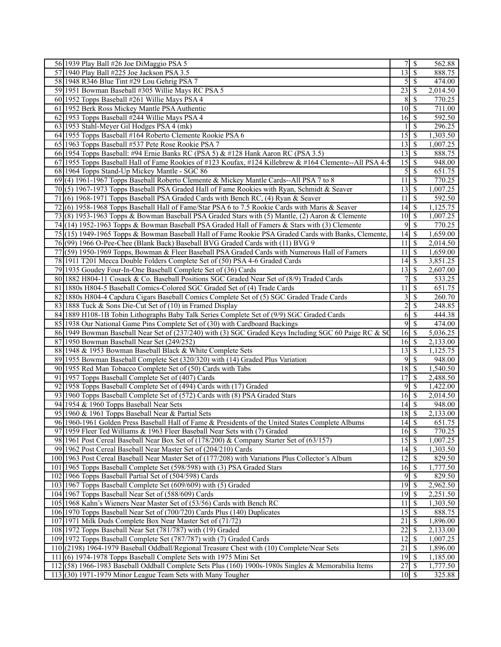| 56 1939 Play Ball #26 Joe DiMaggio PSA 5                                                                | 71                               | \$<br>562.88              |
|---------------------------------------------------------------------------------------------------------|----------------------------------|---------------------------|
| 57 1940 Play Ball #225 Joe Jackson PSA 3.5                                                              | 13S                              | 888.75                    |
| 58 1948 R346 Blue Tint #29 Lou Gehrig PSA 7                                                             | $5\overline{\smash{)}\,}$        | 474.00                    |
| 59 1951 Bowman Baseball #305 Willie Mays RC PSA 5                                                       | 23                               | \$<br>2,014.50            |
| 60 1952 Topps Baseball #261 Willie Mays PSA 4                                                           | 8                                | \$<br>770.25              |
| 61 1952 Berk Ross Mickey Mantle PSA Authentic                                                           | $10 \mid$ \$                     | 711.00                    |
| 62 1953 Topps Baseball #244 Willie Mays PSA 4                                                           | $16 \overline{\smash{\big)}\,}$  | 592.50                    |
| 63 1953 Stahl-Meyer Gil Hodges PSA 4 (mk)                                                               |                                  | \$<br>296.25              |
| 64 1955 Topps Baseball #164 Roberto Clemente Rookie PSA 6                                               | $15 \overline{\smash{\big)}\ 5}$ | 1,303.50                  |
| 65 1963 Topps Baseball #537 Pete Rose Rookie PSA 7                                                      | $13\overline{3}$                 | 1,007.25                  |
| 66 1954 Topps Baseball: #94 Ernie Banks RC (PSA 5) & #128 Hank Aaron RC (PSA 3.5)                       | $13 \mid$ \$                     | 888.75                    |
| 67 1955 Topps Baseball Hall of Fame Rookies of #123 Koufax, #124 Killebrew & #164 Clemente--All PSA 4-5 | $15 \overline{\smash{)}\,}$      | 948.00                    |
| 68 1964 Topps Stand-Up Mickey Mantle - SGC 86                                                           | $5\overline{\smash{)}\,}$        | 651.75                    |
| 69(4) 1961-1967 Topps Baseball Roberto Clemente & Mickey Mantle Cards--All PSA 7 to 8                   | $11 \,$ $\bar{s}$                | 770.25                    |
| 70(5) 1967-1973 Topps Baseball PSA Graded Hall of Fame Rookies with Ryan, Schmidt & Seaver              | $\overline{13}$ $\overline{5}$   | 1,007.25                  |
| 71(6) 1968-1971 Topps Baseball PSA Graded Cards with Bench RC, (4) Ryan & Seaver                        | $11\overline{3}$                 | 592.50                    |
| 72(6) 1958-1968 Topps Baseball Hall of Fame/Star PSA 6 to 7.5 Rookie Cards with Maris & Seaver          |                                  | 1,125.75                  |
| 73 (8) 1953-1963 Topps & Bowman Baseball PSA Graded Stars with (5) Mantle, (2) Aaron & Clemente         | $10 \overline{\smash{)}\,}$      | 1,007.25                  |
| 74(14) 1952-1963 Topps & Bowman Baseball PSA Graded Hall of Famers & Stars with (3) Clemente            | 95                               | 770.25                    |
| 75(15) 1949-1965 Topps & Bowman Baseball Hall of Fame Rookie PSA Graded Cards with Banks, Clemente,     | 14S                              | 1,659.00                  |
| 76(99) 1966 O-Pee-Chee (Blank Back) Baseball BVG Graded Cards with (11) BVG 9                           | $11 \,$ \$                       | 2,014.50                  |
| 77 (59) 1950-1969 Topps, Bowman & Fleer Baseball PSA Graded Cards with Numerous Hall of Famers          | $\overline{1s}$<br>11            | 1,659.00                  |
| 78 1911 T201 Mecca Double Folders Complete Set of (50) PSA 4-6 Graded Cards                             | $14$ S                           | 3,851.25                  |
| 79 1935 Goudey Four-In-One Baseball Complete Set of (36) Cards                                          | $13 \mid$ \$                     | 2,607.00                  |
| 80 1882 H804-11 Cosack & Co. Baseball Positions SGC Graded Near Set of (8/9) Traded Cards               | 7 <sup>1</sup>                   | \$<br>$\overline{533.25}$ |
| 81 1880s H804-5 Baseball Comics-Colored SGC Graded Set of (4) Trade Cards                               | 11 <sup>1</sup>                  | \$<br>$\overline{651.75}$ |
| 82 1880s H804-4 Capdura Cigars Baseball Comics Complete Set of (5) SGC Graded Trade Cards               | 3 <sup>1</sup>                   | <sup>\$</sup><br>260.70   |
| 83 1888 Tuck & Sons Die-Cut Set of (10) in Framed Display                                               | $\overline{c}$                   | 248.85<br>\$              |
| 84 1889 H108-1B Tobin Lithographs Baby Talk Series Complete Set of (9/9) SGC Graded Cards               | 6                                | \$<br>444.38              |
| 85 1938 Our National Game Pins Complete Set of (30) with Cardboard Backings                             | 95                               | 474.00                    |
| 86 1949 Bowman Baseball Near Set of (237/240) with (3) SGC Graded Keys Including SGC 60 Paige RC & SC   | $16\overline{\smash{)}\,}$       | 5,036.25                  |
| 87 1950 Bowman Baseball Near Set (249/252)                                                              | $16 \overline{\smash{)}\,}$      | 2,133.00                  |
| 88 1948 & 1953 Bowman Baseball Black & White Complete Sets                                              | $13 \mid$ \$                     | 1,125.75                  |
| 89 1955 Bowman Baseball Complete Set (320/320) with (14) Graded Plus Variation                          | $9$ \ $\frac{1}{3}$              | 948.00                    |
| 90 1955 Red Man Tobacco Complete Set of (50) Cards with Tabs                                            | $18 \,$ \$                       | 1,540.50                  |
| 91 1957 Topps Baseball Complete Set of (407) Cards                                                      | $17$ $S$                         | 2,488.50                  |
| 92 1958 Topps Baseball Complete Set of (494) Cards with (17) Graded                                     | $9\sqrt{5}$                      | 1,422.00                  |
| 93 1960 Topps Baseball Complete Set of (572) Cards with (8) PSA Graded Stars                            | $16 \mid S$                      | 2,014.50                  |
| 94 1954 & 1960 Topps Baseball Near Sets                                                                 | 14S                              | 948.00                    |
| 95 1960 & 1961 Topps Baseball Near & Partial Sets                                                       | $18 \overline{\smash{)}\,5}$     | 2,133.00                  |
| 96 1960-1961 Golden Press Baseball Hall of Fame & Presidents of the United States Complete Albums       | $14 \overline{\smash{)}\,}$      | 651.75                    |
| 97 1959 Fleer Ted Williams & 1963 Fleer Baseball Near Sets with (7) Graded                              | $16\overline{\smash{)}\,}$       | 770.25                    |
| 98 1961 Post Cereal Baseball Near Box Set of (178/200) & Company Starter Set of (63/157)                | 15S                              | 1,007.25                  |
| 99 1962 Post Cereal Baseball Near Master Set of (204/210) Cards                                         | $14$ $\sqrt{5}$                  | 1,303.50                  |
| 100 1963 Post Cereal Baseball Near Master Set of (177/208) with Variations Plus Collector's Album       | $12 \mid$ \$                     | 829.50                    |
| 101 1965 Topps Baseball Complete Set (598/598) with (3) PSA Graded Stars                                | $16 \mid$ \$                     | 1,777.50                  |
| 102 1966 Topps Baseball Partial Set of (504/598) Cards                                                  | $9$ \ $\frac{1}{2}$              | 829.50                    |
| 103 1967 Topps Baseball Complete Set (609/609) with (5) Graded                                          | $\overline{19}$ \$               | 2,962.50                  |
| 104 1967 Topps Baseball Near Set of (588/609) Cards                                                     | $19$ $\sqrt{5}$                  | 2,251.50                  |
| 105 1968 Kahn's Wieners Near Master Set of (53/56) Cards with Bench RC                                  | $11 \overline{\smash{)}\,}$      | 1,303.50                  |
| 106 1970 Topps Baseball Near Set of (700/720) Cards Plus (140) Duplicates                               | $15\overline{3}$                 | 888.75                    |
| 107 1971 Milk Duds Complete Box Near Master Set of (71/72)                                              | 21                               | \$<br>1,896.00            |
| 108 1972 Topps Baseball Near Set (781/787) with (19) Graded                                             | $\overline{22}$                  | \$<br>2,133.00            |
| 109 1972 Topps Baseball Complete Set (787/787) with (7) Graded Cards                                    | $12 \mid$ \$                     | 1,007.25                  |
| 110 (2198) 1964-1979 Baseball Oddball/Regional Treasure Chest with (10) Complete/Near Sets              | $21$   \$                        | 1,896.00                  |
| $111(6)$ 1974-1978 Topps Baseball Complete Sets with 1975 Mini Set                                      | $19$ $\overline{\text{S}}$       | 1,185.00                  |
| 112(58) 1966-1983 Baseball Oddball Complete Sets Plus (160) 1900s-1980s Singles & Memorabilia Items     |                                  | 1,777.50                  |
| $113(30)$ 1971-1979 Minor League Team Sets with Many Tougher                                            | $10 \mid S$                      | 325.88                    |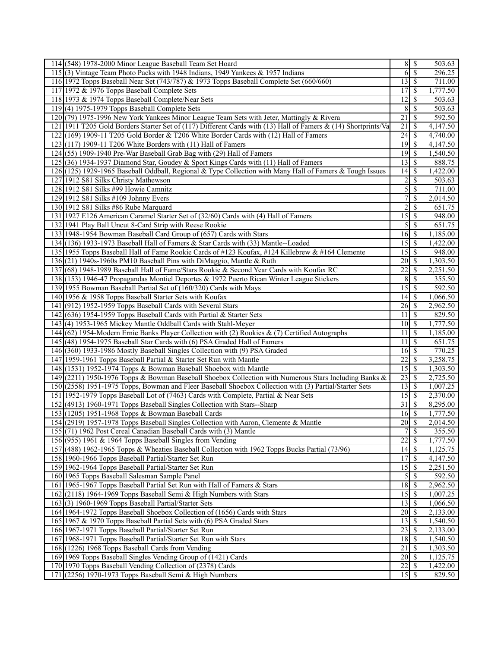| 114 (548) 1978-2000 Minor League Baseball Team Set Hoard                                                         | $8 \mid$ \$                    |                          | 503.63   |
|------------------------------------------------------------------------------------------------------------------|--------------------------------|--------------------------|----------|
| 115(3) Vintage Team Photo Packs with 1948 Indians, 1949 Yankees & 1957 Indians                                   | 6S                             |                          | 296.25   |
| 116 1972 Topps Baseball Near Set (743/787) & 1973 Topps Baseball Complete Set (660/660)                          | $13 \mid$ \$                   |                          | 711.00   |
| 117 1972 & 1976 Topps Baseball Complete Sets                                                                     | 17                             | l \$                     | 1,777.50 |
| 118 1973 & 1974 Topps Baseball Complete/Near Sets                                                                | 12                             | S                        | 503.63   |
| $119(4)$ 1975-1979 Topps Baseball Complete Sets                                                                  | 8                              | l \$                     | 503.63   |
| 120(79) 1975-1996 New York Yankees Minor League Team Sets with Jeter, Mattingly & Rivera                         | 21                             | $\mathcal{S}$            | 592.50   |
| 121   1911 T205 Gold Borders Starter Set of (117) Different Cards with (13) Hall of Famers & (14) Shortprints/Va | 21                             | -S                       | 4,147.50 |
| $122(169)$ 1909-11 T205 Gold Border & T206 White Border Cards with (12) Hall of Famers                           | $24 \overline{\smash{)}\,}$    |                          | 4,740.00 |
| $123(117)$ 1909-11 T206 White Borders with $(11)$ Hall of Famers                                                 | $19$ \$                        |                          | 4,147.50 |
| 124(55) 1909-1940 Pre-War Baseball Grab Bag with (29) Hall of Famers                                             | $19$ $\sqrt{5}$                |                          | 1,540.50 |
| 125 (36) 1934-1937 Diamond Star, Goudey & Sport Kings Cards with (11) Hall of Famers                             |                                |                          | 888.75   |
| 126 (125) 1929-1965 Baseball Oddball, Regional & Type Collection with Many Hall of Famers & Tough Issues         |                                |                          | 1,422.00 |
| 127 1912 S81 Silks Christy Mathewson                                                                             | $\overline{2}$                 | $\overline{\mathcal{S}}$ | 503.63   |
| 128 1912 S81 Silks #99 Howie Camnitz                                                                             | 5s                             |                          | 711.00   |
| 129 1912 S81 Silks #109 Johnny Evers                                                                             | 7                              | \$                       | 2,014.50 |
| 130 1912 S81 Silks #86 Rube Marquard                                                                             | $\overline{c}$                 | \$                       | 651.75   |
| 131 1927 E126 American Caramel Starter Set of (32/60) Cards with (4) Hall of Famers                              | $\overline{15}$ \$             |                          | 948.00   |
| 132 1941 Play Ball Uncut 8-Card Strip with Reese Rookie                                                          | $\overline{5}$ $\overline{\$}$ |                          | 651.75   |
| 133 1948-1954 Bowman Baseball Card Group of (657) Cards with Stars                                               | $16 \,$ \$                     |                          | 1,185.00 |
| 134 (136) 1933-1973 Baseball Hall of Famers & Star Cards with (33) Mantle--Loaded                                |                                |                          | 1,422.00 |
| 135 1955 Topps Baseball Hall of Fame Rookie Cards of #123 Koufax, #124 Killebrew & #164 Clemente                 |                                |                          | 948.00   |
| 136(21) 1940s-1960s PM10 Baseball Pins with DiMaggio, Mantle & Ruth                                              |                                |                          | 1,303.50 |
| 137 (68) 1948-1989 Baseball Hall of Fame/Stars Rookie & Second Year Cards with Koufax RC                         | $\overline{22}$                | S                        | 2,251.50 |
| 138 (153) 1946-47 Propagandas Montiel Deportes & 1972 Puerto Rican Winter League Stickers                        | 8                              | $\overline{\mathcal{S}}$ | 355.50   |
| 139 1955 Bowman Baseball Partial Set of (160/320) Cards with Mays                                                | $15\overline{3}$               |                          | 592.50   |
| 140 1956 & 1958 Topps Baseball Starter Sets with Koufax                                                          |                                |                          | 1,066.50 |
| 141 (912) 1952-1959 Topps Baseball Cards with Several Stars                                                      | 26                             | S                        | 2,962.50 |
| 142 (636) 1954-1959 Topps Baseball Cards with Partial & Starter Sets                                             | 11                             | - \$                     | 829.50   |
| 143(4) 1953-1965 Mickey Mantle Oddball Cards with Stahl-Meyer                                                    | $10 \mid$ \$                   |                          | 1,777.50 |
| 144 (62) 1954-Modern Ernie Banks Player Collection with (2) Rookies & (7) Certified Autographs                   | 11                             | $\overline{\mathcal{S}}$ | 1,185.00 |
| 145 (48) 1954-1975 Baseball Star Cards with (6) PSA Graded Hall of Famers                                        | 11                             | $\overline{\mathbf{s}}$  | 651.75   |
| 146 (360) 1933-1986 Mostly Baseball Singles Collection with (9) PSA Graded                                       | $16 \overline{\smash{)}\,}$    |                          | 770.25   |
| 147 1959-1961 Topps Baseball Partial & Starter Set Run with Mantle                                               | 22                             | -\$                      | 3,258.75 |
| 148 (1531) 1952-1974 Topps & Bowman Baseball Shoebox with Mantle                                                 | $\overline{15}$                | l \$                     | 1,303.50 |
| 149 (2211) 1950-1976 Topps & Bowman Baseball Shoebox Collection with Numerous Stars Including Banks &            |                                |                          | 2,725.50 |
| 150 (2558) 1951-1975 Topps, Bowman and Fleer Baseball Shoebox Collection with (3) Partial/Starter Sets           | $13 \mid$ \$                   |                          | 1,007.25 |
| 151 1952-1979 Topps Baseball Lot of (7463) Cards with Complete, Partial & Near Sets                              | $15 \mid$ \$                   |                          | 2,370.00 |
| 152 (4913) 1960-1971 Topps Baseball Singles Collection with Stars--Sharp                                         | 31                             | $\mathbb{S}$             | 8,295.00 |
| 153 (1205) 1951-1968 Topps & Bowman Baseball Cards                                                               | $16 \overline{\smash{)}\,}$    |                          | 1,777.50 |
| 154 (2919) 1957-1978 Topps Baseball Singles Collection with Aaron, Clemente & Mantle                             | $20\sqrt{3}$                   |                          | 2,014.50 |
| 155 (71) 1962 Post Cereal Canadian Baseball Cards with (3) Mantle                                                | $\overline{7}$                 | $\sqrt{s}$               | 355.50   |
| 156 (955) 1961 & 1964 Topps Baseball Singles from Vending                                                        | 22                             | \$                       | 1,777.50 |
| 157 (488) 1962-1965 Topps & Wheaties Baseball Collection with 1962 Topps Bucks Partial (73/96)                   | $14\overline{3}$               |                          | 1,125.75 |
| 158 1960-1966 Topps Baseball Partial/Starter Set Run                                                             | 17                             | l \$                     | 4,147.50 |
| 159 1962-1964 Topps Baseball Partial/Starter Set Run                                                             |                                |                          | 2,251.50 |
| 160 1965 Topps Baseball Salesman Sample Panel                                                                    | $5\overline{)}$                |                          | 592.50   |
| 161 1965-1967 Topps Baseball Partial Set Run with Hall of Famers & Stars                                         | $\overline{18}$ \$             |                          | 2,962.50 |
| 162 (2118) 1964-1969 Topps Baseball Semi & High Numbers with Stars                                               |                                |                          | 1,007.25 |
| 163 (3) 1960-1969 Topps Baseball Partial/Starter Sets                                                            | $13 \mid$ \$                   |                          | 1,066.50 |
| 164 1964-1972 Topps Baseball Shoebox Collection of (1656) Cards with Stars                                       |                                |                          | 2,133.00 |
| 165 1967 & 1970 Topps Baseball Partial Sets with (6) PSA Graded Stars                                            | $13 \mid$ \$                   |                          | 1,540.50 |
| 166 1967-1971 Topps Baseball Partial/Starter Set Run                                                             | $23 \mid$ \$                   |                          | 2,133.00 |
| 167 1968-1971 Topps Baseball Partial/Starter Set Run with Stars                                                  | $18 \mid$ \$                   |                          | 1,540.50 |
| 168 (1226) 1968 Topps Baseball Cards from Vending                                                                | 21                             | l \$                     | 1,303.50 |
| 169 1969 Topps Baseball Singles Vending Group of (1421) Cards                                                    | $20 \mid$ \$                   |                          | 1,125.75 |
| 170 1970 Topps Baseball Vending Collection of (2378) Cards                                                       |                                |                          | 1,422.00 |
| 171 (2256) 1970-1973 Topps Baseball Semi & High Numbers                                                          | $15$ $\sigma$                  |                          | 829.50   |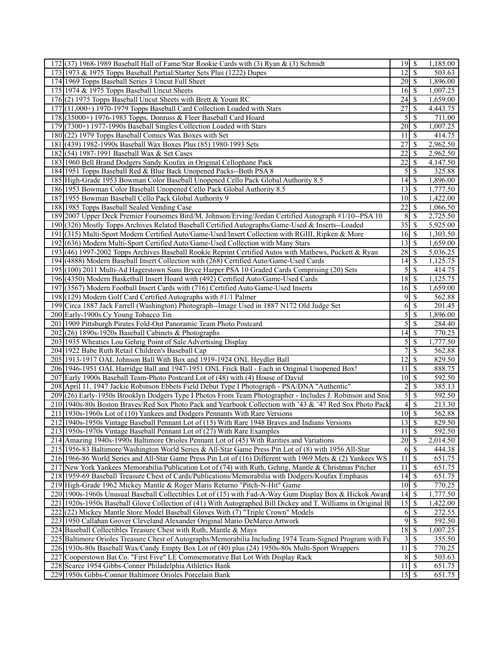| 172 (37) 1968-1989 Baseball Hall of Fame/Star Rookie Cards with (3) Ryan & (3) Schmidt                       |                                               |                           | 1,185.00 |
|--------------------------------------------------------------------------------------------------------------|-----------------------------------------------|---------------------------|----------|
| 173 1973 & 1975 Topps Baseball Partial/Starter Sets Plus (1222) Dupes                                        | $\overline{12}$ \$                            |                           | 503.63   |
| 174 1969 Topps Baseball Series 3 Uncut Full Sheet                                                            | $20 \mid$ \$                                  |                           | 1,896.00 |
| 175 1974 & 1975 Topps Baseball Uncut Sheets                                                                  | $16\overline{3}$                              |                           | 1,007.25 |
| 176(2) 1975 Topps Baseball Uncut Sheets with Brett & Yount RC                                                |                                               |                           | 1,659.00 |
| 177 (11,000+) 1970-1979 Topps Baseball Card Collection Loaded with Stars                                     | $\overline{27}$                               | l \$                      | 4,443.75 |
| 178 (35000+) 1976-1983 Topps, Donruss & Fleer Baseball Card Hoard                                            | 5                                             | $\sqrt{s}$                | 711.00   |
| 179 (7300+) 1977-1990s Baseball Singles Collection Loaded with Stars                                         | $20$   \$                                     |                           | 1,007.25 |
| 180 (22) 1979 Topps Baseball Comics Wax Boxes with Set                                                       | 11                                            | l \$                      | 414.75   |
| 181 (439) 1982-1990s Baseball Wax Boxes Plus (85) 1980-1993 Sets                                             | 27                                            | \$                        | 2,962.50 |
|                                                                                                              | 22                                            | -S                        |          |
| 182 (54) 1987-1991 Baseball Wax & Set Cases                                                                  | $\overline{22}$                               |                           | 2,962.50 |
| 183 1960 Bell Brand Dodgers Sandy Koufax in Original Cellophane Pack                                         |                                               | \$                        | 4,147.50 |
| 184 1951 Topps Baseball Red & Blue Back Unopened Packs--Both PSA 8                                           |                                               | $5\overline{8}$           | 325.88   |
| 185 High-Grade 1953 Bowman Color Baseball Unopened Cello Pack Global Authority 8.5                           | $14 \mid$ \$                                  |                           | 1,896.00 |
| 186 1953 Bowman Color Baseball Unopened Cello Pack Global Authority 8.5                                      | $13 \mid$ \$                                  |                           | 1,777.50 |
| 187 1955 Bowman Baseball Cello Pack Global Authority 9                                                       | $10 \mid$ \$                                  |                           | 1,422.00 |
| 188 1985 Topps Baseball Sealed Vending Case                                                                  | $\overline{22}$                               | S                         | 1,066.50 |
| 189 2007 Upper Deck Premier Foursomes Bird/M. Johnson/Erving/Jordan Certified Autograph #1/10--PSA 10        | 8S                                            |                           | 2,725.50 |
| 190 (326) Mostly Topps Archives Related Baseball Certified Autographs/Game-Used & Inserts--Loaded            | $35 \overline{\smash{\big }\hspace{0.5cm} 5}$ |                           | 5,925.00 |
| 191 (315) Multi-Sport Modern Certified Auto/Game-Used/Insert Collection with RGIII, Ripken & More            | $16 \mid$ \$                                  |                           | 1,303.50 |
| 192 (636) Modern Multi-Sport Certified Auto/Game-Used Collection with Many Stars                             | $13 \mid$ \$                                  |                           | 1,659.00 |
| 193 (46) 1997-2002 Topps Archives Baseball Rookie Reprint Certified Autos with Mathews, Puckett & Ryan       |                                               |                           | 5,036.25 |
| 194 (4888) Modern Baseball Insert Collection with (268) Certified Auto/Game-Used Cards                       |                                               |                           | 1,125.75 |
| 195 (100) 2011 Multi-Ad Hagerstown Suns Bryce Harper PSA 10 Graded Cards Comprising (20) Sets                |                                               | $5\overline{\smash{)}\,}$ | 414.75   |
| 196 (4350) Modern Basketball Insert Hoard with (492) Certified Auto/Game-Used Cards                          | $18 \overline{\smash{\big)} }$                |                           | 1,125.75 |
| 197 (3567) Modern Football Insert Cards with (716) Certified Auto/Game-Used Inserts                          | $16 \mid$ \$                                  |                           | 1,659.00 |
| 198 (129) Modern Golf Card Certified Autographs with #1/1 Palmer                                             |                                               | $9 \mid \text{\$\}$       | 562.88   |
| 199 Circa 1887 Jack Farrell (Washington) Photograph--Image Used in 1887 N172 Old Judge Set                   | 6                                             | \$                        | 201.45   |
| 200 Early-1900s Cy Young Tobacco Tin                                                                         | 5                                             | \$                        | 1,896.00 |
| 201 1909 Pittsburgh Pirates Fold-Out Panoramic Team Photo Postcard                                           | 5                                             | l \$                      | 284.40   |
| $202(26)$ 1890s-1920s Baseball Cabinets & Photographs                                                        | $\overline{14}$ \$                            |                           | 770.25   |
| 203 1935 Wheaties Lou Gehrig Point of Sale Advertising Display                                               | 5                                             | \$                        | 1,777.50 |
| 204 1922 Babe Ruth Retail Children's Baseball Cap                                                            | 7                                             | $\overline{\mathcal{S}}$  | 562.88   |
| 205 1913-1917 OAL Johnson Ball With Box and 1919-1924 ONL Heydler Ball                                       | $12 \mid$ \$                                  |                           | 829.50   |
| 206 1946-1951 OAL Harridge Ball and 1947-1951 ONL Frick Ball - Each in Original Unopened Box!                | 11                                            | l \$                      | 888.75   |
| 207 Early 1900s Baseball Team-Photo Postcard Lot of (48) with (4) House of David                             | $10\overline{\smash{)}\,}$                    |                           | 592.50   |
| 208 April 11, 1947 Jackie Robinson Ebbets Field Debut Type I Photograph - PSA/DNA "Authentic"                | $\overline{2}$                                | $\overline{\mathcal{S}}$  | 385.13   |
| 209 (26) Early-1950s Brooklyn Dodgers Type I Photos From Team Photographer - Includes J. Robinson and Snic   |                                               | 5S                        | 592.50   |
|                                                                                                              | $4 \overline{\smash{3}}$                      |                           | 213.30   |
| 210 1940s-80s Boston Braves/Red Sox Photo Pack and Yearbook Collection with '43 & '47 Red Sox Photo Pack     | $10\sqrt{5}$                                  |                           |          |
| 211 1930s-1960s Lot of (10) Yankees and Dodgers Pennants With Rare Versions                                  |                                               |                           | 562.88   |
| 212 1940s-1950s Vintage Baseball Pennant Lot of (15) With Rare 1948 Braves and Indians Versions              | 13S                                           |                           | 829.50   |
| 213 1950s-1970s Vintage Baseball Pennant Lot of (27) With Rare Examples                                      | 11                                            | $\overline{\mathcal{S}}$  | 592.50   |
| 214 Amazing 1940s-1990s Baltimore Orioles Pennant Lot of (45) With Rarities and Variations                   |                                               |                           | 2,014.50 |
| 215 1956-83 Baltimore/Washington World Series & All-Star Game Press Pin Lot of (8) with 1956 All-Star        | 6                                             | $\sqrt{S}$                | 444.38   |
| 216 1966-86 World Series and All-Star Game Press Pin Lot of (16) Different with 1969 Mets & (2) Yankees WS   | 11                                            | \$                        | 651.75   |
| 217 New York Yankees Memorabilia/Publication Lot of (74) with Ruth, Gehrig, Mantle & Christmas Pitcher       | 11                                            | \$                        | 651.75   |
| 218 1959-69 Baseball Treasure Chest of Cards/Publications/Memorabilia with Dodgers/Koufax Emphasis           | $14 \mid$ \$                                  |                           | 651.75   |
| 219 High-Grade 1962 Mickey Mantle & Roger Maris Returno "Pitch-N-Hit" Game                                   | $10 \mid$ \$                                  |                           | 770.25   |
| 220 1900s-1960s Unusual Baseball Collectibles Lot of (15) with Fad-A-Way Gum Display Box & Hickok Award      |                                               |                           | 1,777.50 |
| 221 1920s-1950s Baseball Glove Collection of (41) With Autographed Bill Dickey and T. Williams in Original B | 15S                                           |                           | 1,422.00 |
| 222 (22) Mickey Mantle Store Model Baseball Gloves With (7) "Triple Crown" Models                            |                                               | $6\sqrt{3}$               | 272.55   |
| 223 1950 Callahan Grover Cleveland Alexander Original Mario DeMarco Artwork                                  | $\overline{9}$                                | \$                        | 592.50   |
| 224 Baseball Collectibles Treasure Chest with Ruth, Mantle & Mays                                            | $18 \,$ \$                                    |                           | 1,007.25 |
| 225 Baltimore Orioles Treasure Chest of Autographs/Memorabilia Including 1974 Team-Signed Program with Fu    |                                               | $3\overline{3}$           | 355.50   |
| 226 1930s-80s Baseball Wax/Candy Empty Box Lot of (40) plus (24) 1950s-80s Multi-Sport Wrappers              | $11 \mid$ \$                                  |                           | 770.25   |
| 227 Cooperstown Bat Co. "First Five" LE Commemorative Bat Lot With Display Rack                              | 8S                                            |                           | 503.63   |
|                                                                                                              |                                               |                           |          |
| 228 Scarce 1954 Gibbs-Conner Philadelphia Athletics Bank                                                     | 11                                            | $\mathsf{I}$              | 651.75   |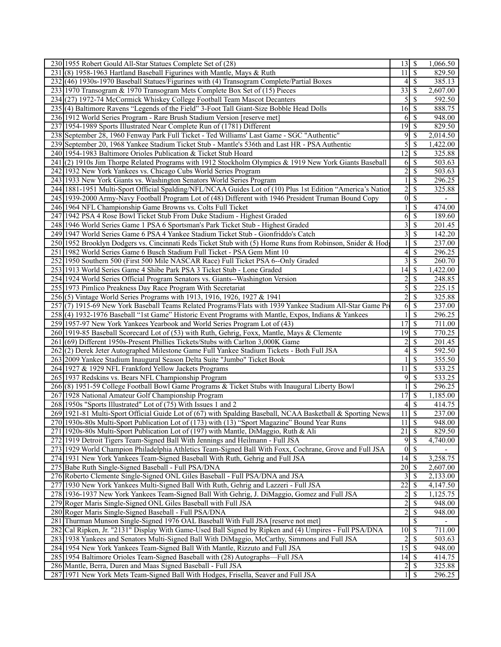| 230 1955 Robert Gould All-Star Statues Complete Set of (28)                                                | $13 \mid S$                                | 1,066.50 |
|------------------------------------------------------------------------------------------------------------|--------------------------------------------|----------|
| 231(8) 1958-1963 Hartland Baseball Figurines with Mantle, Mays & Ruth                                      | $\mathbf S$<br>11 <sup>1</sup>             | 829.50   |
| 232 (46) 1930s-1970 Baseball Statues/Figurines with (4) Transogram Complete/Partial Boxes                  | <sup>\$</sup><br>4 <sup>1</sup>            | 385.13   |
| 233 1970 Transogram & 1970 Transogram Mets Complete Box Set of (15) Pieces                                 | 33<br>\$                                   | 2,607.00 |
| 234 (27) 1972-74 McCormick Whiskey College Football Team Mascot Decanters                                  | 5<br>\$                                    | 592.50   |
| 235 (4) Baltimore Ravens "Legends of the Field" 3-Foot Tall Giant-Size Bobble Head Dolls                   | 16 <sup> </sup><br>$\mathbb{S}$            | 888.75   |
| 236 1912 World Series Program - Rare Brush Stadium Version [reserve met]                                   | $\mathbf S$<br>6                           | 948.00   |
| 237 1954-1989 Sports Illustrated Near Complete Run of (1781) Different                                     | 19 <br>$\mathbf{\hat{s}}$                  | 829.50   |
| 238 September 28, 1960 Fenway Park Full Ticket - Ted Williams' Last Game - SGC "Authentic"                 | 9<br>$\mathbb{S}$                          | 2,014.50 |
| 239 September 20, 1968 Yankee Stadium Ticket Stub - Mantle's 536th and Last HR - PSA Authentic             | 5<br>$\mathbb{S}$                          | 1,422.00 |
| 240 1954-1983 Baltimore Orioles Publication & Ticket Stub Hoard                                            | 12<br>\$                                   | 325.88   |
| 241(2) 1910s Jim Thorpe Related Programs with 1912 Stockholm Olympics & 1919 New York Giants Baseball      | <sup>\$</sup><br>6                         | 503.63   |
| 242 1932 New York Yankees vs. Chicago Cubs World Series Program                                            | $\overline{c}$<br>\$                       | 503.63   |
| 243 1933 New York Giants vs. Washington Senators World Series Program                                      | $\mathbf{1}$<br>\$                         | 296.25   |
| 244 1881-1951 Multi-Sport Official Spalding/NFL/NCAA Guides Lot of (10) Plus 1st Edition "America's Nation | $\overline{2}$<br>\$                       | 325.88   |
| 245 1939-2000 Army-Navy Football Program Lot of (48) Different with 1946 President Truman Bound Copy       | \$<br>$\overline{0}$                       |          |
| 246 1964 NFL Championship Game Browns vs. Colts Full Ticket                                                | \$<br>1                                    | 474.00   |
| 247 1942 PSA 4 Rose Bowl Ticket Stub From Duke Stadium - Highest Graded                                    | 6<br>\$                                    | 189.60   |
| 248 1946 World Series Game 1 PSA 6 Sportsman's Park Ticket Stub - Highest Graded                           | $\overline{\mathbf{3}}$<br>\$              | 201.45   |
| 249 1947 World Series Game 6 PSA 4 Yankee Stadium Ticket Stub - Gionfriddo's Catch                         | $\overline{3}$<br>\$                       | 142.20   |
| 250 1952 Brooklyn Dodgers vs. Cincinnati Reds Ticket Stub with (5) Home Runs from Robinson, Snider & Hod   | \$                                         | 237.00   |
| 251 1982 World Series Game 6 Busch Stadium Full Ticket - PSA Gem Mint 10                                   | 4<br>\$                                    | 296.25   |
| 252 1950 Southern 500 (First 500 Mile NASCAR Race) Full Ticket PSA 6--Only Graded                          | $\overline{3}$<br>\$                       | 260.70   |
| 253 1913 World Series Game 4 Shibe Park PSA 3 Ticket Stub - Lone Graded                                    | 14<br>\$                                   | 1,422.00 |
| 254 1924 World Series Official Program Senators vs. Giants--Washington Version                             | $\overline{\mathcal{S}}$<br>$\overline{c}$ | 248.85   |
| 255 1973 Pimlico Preakness Day Race Program With Secretariat                                               | $\overline{5}$<br>$\overline{\mathcal{S}}$ | 225.15   |
| 256(5) Vintage World Series Programs with 1913, 1916, 1926, 1927 & 1941                                    | $\overline{c}$<br>\$                       | 325.88   |
| 257 (7) 1915-69 New York Baseball Teams Related Programs/Flats with 1939 Yankee Stadium All-Star Game Pro  | \$<br>6                                    | 237.00   |
| 258(4) 1932-1976 Baseball "1st Game" Historic Event Programs with Mantle, Expos, Indians & Yankees         | \$<br>$\mathbf{1}$                         | 296.25   |
| 259 1957-97 New York Yankees Yearbook and World Series Program Lot of (43)                                 | 17<br>\$                                   | 711.00   |
| 260 1919-85 Baseball Scorecard Lot of (53) with Ruth, Gehrig, Foxx, Mantle, Mays & Clemente                | 19<br>$\mathbf S$                          | 770.25   |
| 261 (69) Different 1950s-Present Phillies Tickets/Stubs with Carlton 3,000K Game                           | $\overline{c}$<br>\$                       | 201.45   |
| 262(2) Derek Jeter Autographed Milestone Game Full Yankee Stadium Tickets - Both Full JSA                  | \$<br>4                                    | 592.50   |
| 263 2009 Yankee Stadium Inaugural Season Delta Suite "Jumbo" Ticket Book                                   | \$<br>1                                    | 355.50   |
| 264 1927 & 1929 NFL Frankford Yellow Jackets Programs                                                      | $\mathbb{S}$<br>11                         | 533.25   |
| 265 1937 Redskins vs. Bears NFL Championship Program                                                       | 9<br>\$                                    | 533.25   |
| 266(8) 1951-59 College Football Bowl Game Programs & Ticket Stubs with Inaugural Liberty Bowl              | \$<br>$\mathbf{1}$                         | 296.25   |
| 267 1928 National Amateur Golf Championship Program                                                        | 17<br>$\overline{\mathcal{S}}$             | 1,185.00 |
| 268 1950s "Sports Illustrated" Lot of (75) With Issues 1 and 2                                             | \$<br>4                                    | 414.75   |
| 269 1921-81 Multi-Sport Official Guide Lot of (67) with Spalding Baseball, NCAA Basketball & Sporting News | 11<br>\$                                   | 237.00   |
| 270 1930s-80s Multi-Sport Publication Lot of (173) with (13) "Sport Magazine" Bound Year Runs              | 11S                                        | 948.00   |
| 271 1920s-80s Multi-Sport Publication Lot of (197) with Mantle, DiMaggio, Ruth & Ali                       | $21 \mid$ \$                               | 829.50   |
| 272 1919 Detroit Tigers Team-Signed Ball With Jennings and Heilmann - Full JSA                             | $\overline{9}$<br>$\overline{\mathcal{S}}$ | 4,740.00 |
| 273 1929 World Champion Philadelphia Athletics Team-Signed Ball With Foxx, Cochrane, Grove and Full JSA    | $0 \overline{\sqrt{s}}$                    |          |
| 274 1931 New York Yankees Team-Signed Baseball With Ruth, Gehrig and Full JSA                              | 14<br>\$                                   | 3,258.75 |
| 275 Babe Ruth Single-Signed Baseball - Full PSA/DNA                                                        | 20<br>S                                    | 2,607.00 |
| 276 Roberto Clemente Single-Signed ONL Giles Baseball - Full PSA/DNA and JSA                               | $\overline{\mathbf{3}}$<br>\$              | 2,133.00 |
| 277 1930 New York Yankees Multi-Signed Ball With Ruth, Gehrig and Lazzeri - Full JSA                       | $\overline{22}$<br>$\mathbb{S}$            | 4,147.50 |
| 278 1936-1937 New York Yankees Team-Signed Ball With Gehrig, J. DiMaggio, Gomez and Full JSA               | $\overline{c}$<br>\$                       | 1,125.75 |
| 279 Roger Maris Single-Signed ONL Giles Baseball with Full JSA                                             | $\overline{2}$<br>$\overline{\mathcal{S}}$ | 948.00   |
| 280 Roger Maris Single-Signed Baseball - Full PSA/DNA                                                      | $\overline{2}$<br>\$                       | 948.00   |
| 281 Thurman Munson Single-Signed 1976 OAL Baseball With Full JSA [reserve not met]                         | \$                                         |          |
| 282 Cal Ripken, Jr. "2131" Display With Game-Used Ball Signed by Ripken and (4) Umpires - Full PSA/DNA     | $10 \mid \text{\AA}$                       | 711.00   |
| 283 1938 Yankees and Senators Multi-Signed Ball With DiMaggio, McCarthy, Simmons and Full JSA              | $\overline{\mathcal{S}}$<br>$\overline{2}$ | 503.63   |
| 284 1954 New York Yankees Team-Signed Ball With Mantle, Rizzuto and Full JSA                               | $15\overline{\smash{)}\,}$                 | 948.00   |
| 285 1954 Baltimore Orioles Team-Signed Baseball with (28) Autographs-Full JSA                              | $14 \mid$ \$                               | 414.75   |
| 286 Mantle, Berra, Duren and Maas Signed Baseball - Full JSA                                               | $2\vert$<br>$\mathbb{S}$                   | 325.88   |
| 287 1971 New York Mets Team-Signed Ball With Hodges, Frisella, Seaver and Full JSA                         | $\mathbb{S}$<br>1 <sup>1</sup>             | 296.25   |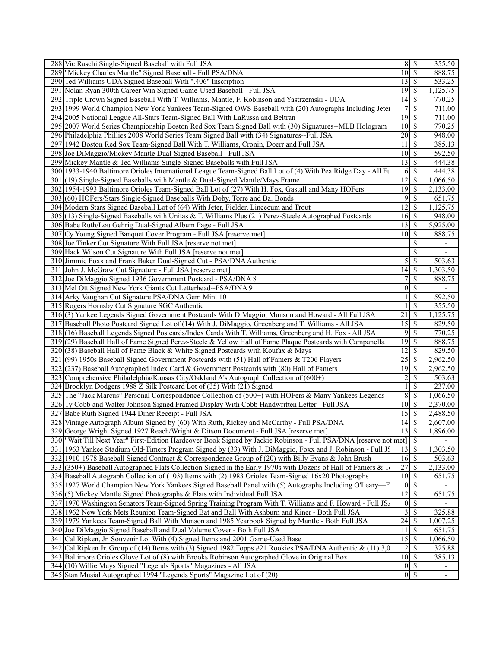| 288 Vic Raschi Single-Signed Baseball with Full JSA                                                              |                             | 8S                         | 355.50                   |
|------------------------------------------------------------------------------------------------------------------|-----------------------------|----------------------------|--------------------------|
| 289  "Mickey Charles Mantle" Signed Baseball - Full PSA/DNA                                                      | $10\sqrt{S}$                |                            | 888.75                   |
| 290 Ted Williams UDA Signed Baseball With ".406" Inscription                                                     | $13 \mid$ \$                |                            | 533.25                   |
| 291 Nolan Ryan 300th Career Win Signed Game-Used Baseball - Full JSA                                             | $19\overline{3}$            |                            | 1,125.75                 |
| 292 Triple Crown Signed Baseball With T. Williams, Mantle, F. Robinson and Yastrzemski - UDA                     | $14 \mid$ \$                |                            | 770.25                   |
| 293 1999 World Champion New York Yankees Team-Signed OWS Baseball with (20) Autographs Including Jete            |                             | $7\sqrt{S}$                | 711.00                   |
| 294 2005 National League All-Stars Team-Signed Ball With LaRussa and Beltran                                     | $19$ \$                     |                            | 711.00                   |
| 295 2007 World Series Championship Boston Red Sox Team Signed Ball with (30) Signatures--MLB Hologram            | $\overline{10}$ \$          |                            | 770.25                   |
| 296 Philadelphia Phillies 2008 World Series Team Signed Ball with (34) Signatures--Full JSA                      | $20 \mid$ \$                |                            | 948.00                   |
| 297 1942 Boston Red Sox Team-Signed Ball With T. Williams, Cronin, Doerr and Full JSA                            | 11                          | l \$                       | 385.13                   |
|                                                                                                                  | $10 \mid S$                 |                            |                          |
| 298 Joe DiMaggio/Mickey Mantle Dual-Signed Baseball - Full JSA                                                   |                             |                            | 592.50                   |
| 299 Mickey Mantle & Ted Williams Single-Signed Baseballs with Full JSA                                           |                             |                            | 444.38                   |
| 300 1933-1940 Baltimore Orioles International League Team-Signed Ball Lot of (4) With Pea Ridge Day - All Fu     |                             | $6 \overline{\smash{)}\,}$ | 444.38                   |
| 301 (19) Single-Signed Baseballs with Mantle & Dual-Signed Mantle/Mays Frame                                     | $12 \mid$ \$                |                            | 1,066.50                 |
| 302 1954-1993 Baltimore Orioles Team-Signed Ball Lot of (27) With H. Fox, Gastall and Many HOFers                | $\overline{19}$ \$          |                            | 2,133.00                 |
| 303 (60) HOFers/Stars Single-Signed Baseballs With Doby, Torre and Ba. Bonds                                     | 9                           | \$                         | 651.75                   |
| 304 Modern Stars Signed Baseball Lot of (64) With Jeter, Fielder, Lincecum and Trout                             | 12                          | \$                         | 1,125.75                 |
| 305 (13) Single-Signed Baseballs with Unitas & T. Williams Plus (21) Perez-Steele Autographed Postcards          | $16 \,$ \$                  |                            | 948.00                   |
| 306 Babe Ruth/Lou Gehrig Dual-Signed Album Page - Full JSA                                                       |                             |                            | 5,925.00                 |
| 307 Cy Young Signed Banquet Cover Program - Full JSA [reserve met]                                               | $10 \mid$ \$                |                            | 888.75                   |
| 308 Joe Tinker Cut Signature With Full JSA [reserve not met]                                                     |                             | \$                         | $\overline{\phantom{a}}$ |
| 309 Hack Wilson Cut Signature With Full JSA [reserve not met]                                                    |                             | \$                         | $\overline{\phantom{a}}$ |
| 310 Jimmie Foxx and Frank Baker Dual-Signed Cut - PSA/DNA Authentic                                              | 5                           | \$                         | 503.63                   |
| 311 John J. McGraw Cut Signature - Full JSA [reserve met]                                                        |                             |                            | 1,303.50                 |
| 312 Joe DiMaggio Signed 1936 Government Postcard - PSA/DNA 8                                                     | 7                           | $\overline{\mathcal{S}}$   | 888.75                   |
| 313 Mel Ott Signed New York Giants Cut Letterhead--PSA/DNA 9                                                     | $\overline{0}$              | $\mathbb{S}$               |                          |
| 314 Arky Vaughan Cut Signature PSA/DNA Gem Mint 10                                                               |                             | $\overline{\mathcal{S}}$   | 592.50                   |
| 315 Rogers Hornsby Cut Signature SGC Authentic                                                                   |                             | \$                         | 355.50                   |
| 316(3) Yankee Legends Signed Government Postcards With DiMaggio, Munson and Howard - All Full JSA                | 21                          | \$                         | 1,125.75                 |
| 317 Baseball Photo Postcard Signed Lot of (14) With J. DiMaggio, Greenberg and T. Williams - All JSA             | $15\overline{\smash{)}\,}$  |                            | 829.50                   |
| 318 (16) Baseball Legends Signed Postcards/Index Cards With T. Williams, Greenberg and H. Fox - All JSA          | 9                           | $\sqrt{s}$                 | 770.25                   |
| 319(29) Baseball Hall of Fame Signed Perez-Steele & Yellow Hall of Fame Plaque Postcards with Campanella         | $19$ $\overline{\text{S}}$  |                            | 888.75                   |
| 320 (38) Baseball Hall of Fame Black & White Signed Postcards with Koufax & Mays                                 | $12 \mid$ \$                |                            | 829.50                   |
| 321 (99) 1950s Baseball Signed Government Postcards with (51) Hall of Famers & T206 Players                      |                             |                            | 2,962.50                 |
| 322 (237) Baseball Autographed Index Card & Government Postcards with (80) Hall of Famers                        | 19                          | l \$                       | 2,962.50                 |
| 323 Comprehensive Philadelphia/Kansas City/Oakland A's Autograph Collection of (600+)                            | $\overline{c}$              | $\overline{\mathcal{S}}$   | 503.63                   |
| 324 Brooklyn Dodgers 1988 Z Silk Postcard Lot of (35) With (21) Signed                                           |                             | \$                         | 237.00                   |
| 325 The "Jack Marcus" Personal Correspondence Collection of (500+) with HOFers & Many Yankees Legends            | $8\,$                       | $\overline{\mathcal{S}}$   | 1,066.50                 |
| 326 Ty Cobb and Walter Johnson Signed Framed Display With Cobb Handwritten Letter - Full JSA                     | $10 \mid$ \$                |                            | 2,370.00                 |
| 327 Babe Ruth Signed 1944 Diner Receipt - Full JSA                                                               | $15\overline{3}$            |                            | 2,488.50                 |
| 328 Vintage Autograph Album Signed by (60) With Ruth, Rickey and McCarthy - Full PSA/DNA                         | $\overline{14}$ \$          |                            | 2,607.00                 |
| 329 George Wright Signed 1927 Reach/Wright & Ditson Document - Full JSA [reserve met]                            | $13 \mid$ \$                |                            | 1,896.00                 |
| 330 Wait Till Next Year" First-Edition Hardcover Book Signed by Jackie Robinson - Full PSA/DNA [reserve not met] |                             | $\overline{\mathbf{s}}$    |                          |
| 331 1963 Yankee Stadium Old-Timers Program Signed by (33) With J. DiMaggio, Foxx and J. Robinson - Full J.       | $13 \mid$ \$                |                            | 1,303.50                 |
| 332 1910-1978 Baseball Signed Contract & Correspondence Group of (20) with Billy Evans & John Brush              | 16S                         |                            | 503.63                   |
| 333 (350+) Baseball Autographed Flats Collection Signed in the Early 1970s with Dozens of Hall of Famers & T     | 27                          | \$                         | 2,133.00                 |
| 334 Baseball Autograph Collection of (103) Items with (2) 1983 Orioles Team-Signed 16x20 Photographs             | $10 \overline{\smash{)}\,}$ |                            | 651.75                   |
| 335 1927 World Champion New York Yankees Signed Baseball Panel with (5) Autographs Including O'Leary-            |                             | $0 \mid S$                 |                          |
| 336(5) Mickey Mantle Signed Photographs & Flats with Individual Full JSA                                         | $12 \mid$ \$                |                            | 651.75                   |
| 337 1970 Washington Senators Team-Signed Spring Training Program With T. Williams and F. Howard - Full JS.       |                             | $0\sqrt{S}$                |                          |
| 338 1962 New York Mets Reunion Team-Signed Bat and Ball With Ashburn and Kiner - Both Full JSA                   | 3                           | $\overline{\mathcal{S}}$   | 325.88                   |
| 339 1979 Yankees Team-Signed Ball With Munson and 1985 Yearbook Signed by Mantle - Both Full JSA                 |                             |                            | 1,007.25                 |
| 340 Joe DiMaggio Signed Baseball and Dual Volume Cover - Both Full JSA                                           | $11 \mid$ \$                |                            | 651.75                   |
| 341 Cal Ripken, Jr. Souvenir Lot With (4) Signed Items and 2001 Game-Used Base                                   |                             |                            | 1,066.50                 |
| 342 Cal Ripken Jr. Group of (14) Items with (3) Signed 1982 Topps #21 Rookies PSA/DNA Authentic $\&$ (11) 3,0    |                             |                            | 325.88                   |
| 343 Baltimore Orioles Glove Lot of (8) with Brooks Robinson Autographed Glove in Original Box                    | $10 \mid$ \$                |                            | 385.13                   |
| 344 (10) Willie Mays Signed "Legends Sports" Magazines - All JSA                                                 |                             | $0\sqrt{5}$                | $\overline{\phantom{a}}$ |
| 345 Stan Musial Autographed 1994 "Legends Sports" Magazine Lot of (20)                                           |                             | $0 \mid S$                 | $\overline{\phantom{a}}$ |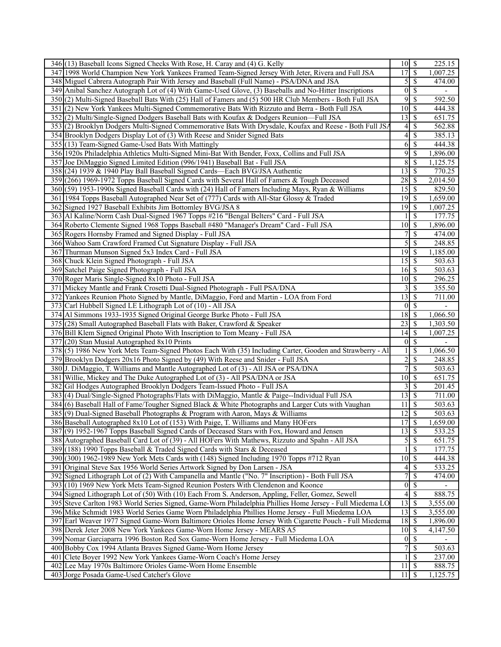| 346 (13) Baseball Icons Signed Checks With Rose, H. Caray and (4) G. Kelly                                | $10\overline{\smash{)}\,}$    |                          | 225.15                   |
|-----------------------------------------------------------------------------------------------------------|-------------------------------|--------------------------|--------------------------|
| 347 1998 World Champion New York Yankees Framed Team-Signed Jersey With Jeter, Rivera and Full JSA        | $\overline{17}$               | $\overline{\mathcal{S}}$ | 1,007.25                 |
| 348 Miguel Cabrera Autograph Pair With Jersey and Baseball (Full Name) - PSA/DNA and JSA                  | $\mathcal{S}$                 | l \$                     | 474.00                   |
| 349 Anibal Sanchez Autograph Lot of (4) With Game-Used Glove, (3) Baseballs and No-Hitter Inscriptions    | $\boldsymbol{0}$              | \$                       |                          |
| 350 (2) Multi-Signed Baseball Bats With (25) Hall of Famers and (5) 500 HR Club Members - Both Full JSA   | 9                             | -\$                      | 592.50                   |
| 351 (2) New York Yankees Multi-Signed Commemorative Bats With Rizzuto and Berra - Both Full JSA           | $10 \mid$ \$                  |                          | 444.38                   |
| 352 (2) Multi/Single-Signed Dodgers Baseball Bats with Koufax & Dodgers Reunion—Full JSA                  | 13                            | $\sqrt{S}$               | 651.75                   |
| 353(2) Brooklyn Dodgers Multi-Signed Commemorative Bats With Drysdale, Koufax and Reese - Both Full JSA   | $\frac{4}{ }$                 | $\overline{\mathcal{S}}$ | 562.88                   |
| 354 Brooklyn Dodgers Display Lot of (3) With Reese and Snider Signed Bats                                 | $\overline{4}$                | \$                       | 385.13                   |
| 355 (13) Team-Signed Game-Used Bats With Mattingly                                                        | 6                             | $\mathcal{S}$            | 444.38                   |
| 356 1920s Philadelphia Athletics Multi-Signed Mini-Bat With Bender, Foxx, Collins and Full JSA            | 9                             | $\overline{\mathcal{S}}$ | 1,896.00                 |
| 357 Joe DiMaggio Signed Limited Edition (996/1941) Baseball Bat - Full JSA                                | $\,$ 8 $\,$                   | $\mathcal{S}$            | 1,125.75                 |
| 358 (24) 1939 & 1940 Play Ball Baseball Signed Cards—Each BVG/JSA Authentic                               | 13                            | $\sqrt{s}$               | 770.25                   |
| 359 (266) 1969-1972 Topps Baseball Signed Cards with Several Hall of Famers & Tough Deceased              | 28                            | \$                       | 2,014.50                 |
| 360(59) 1953-1990s Signed Baseball Cards with (24) Hall of Famers Including Mays, Ryan & Williams         |                               |                          | 829.50                   |
| 361 1984 Topps Baseball Autographed Near Set of (777) Cards with All-Star Glossy & Traded                 |                               |                          | 1,659.00                 |
| 362 Signed 1927 Baseball Exhibits Jim Bottomley BVG/JSA 8                                                 | 19                            | $\sqrt{S}$               | 1,007.25                 |
| 363 Al Kaline/Norm Cash Dual-Signed 1967 Topps #216 "Bengal Belters" Card - Full JSA                      |                               | -\$                      | 177.75                   |
| 364 Roberto Clemente Signed 1968 Topps Baseball #480 "Manager's Dream" Card - Full JSA                    | 10                            | $\sqrt{s}$               | 1,896.00                 |
| 365 Rogers Hornsby Framed and Signed Display - Full JSA                                                   | 7                             | $\overline{\mathcal{S}}$ | 474.00                   |
| 366 Wahoo Sam Crawford Framed Cut Signature Display - Full JSA                                            | 5                             | $\mathcal{S}$            | 248.85                   |
| 367 Thurman Munson Signed 5x3 Index Card - Full JSA                                                       | 19                            | \$                       | 1,185.00                 |
| 368 Chuck Klein Signed Photograph - Full JSA                                                              | $15\overline{\smash{)}\,}$    |                          | 503.63                   |
| 369 Satchel Paige Signed Photograph - Full JSA                                                            |                               |                          | 503.63                   |
| 370 Roger Maris Single-Signed 8x10 Photo - Full JSA                                                       | $10 \overline{\smash{)}\,$ \$ |                          | 296.25                   |
| 371 Mickey Mantle and Frank Crosetti Dual-Signed Photograph - Full PSA/DNA                                | 3                             | $\sqrt{s}$               | 355.50                   |
| 372 Yankees Reunion Photo Signed by Mantle, DiMaggio, Ford and Martin - LOA from Ford                     | $\overline{13}$               | $\sqrt{s}$               |                          |
|                                                                                                           | $\bf{0}$                      | - \$                     | 711.00                   |
| 373 Carl Hubbell Signed LE Lithograph Lot of (10) - All JSA                                               | 18                            |                          |                          |
| 374 Al Simmons 1933-1935 Signed Original George Burke Photo - Full JSA                                    |                               | \$                       | 1,066.50                 |
| 375 (28) Small Autographed Baseball Flats with Baker, Crawford & Speaker                                  |                               |                          | 1,303.50                 |
| 376 Bill Klem Signed Original Photo With Inscription to Tom Meany - Full JSA                              |                               |                          | 1,007.25                 |
| 377 (20) Stan Musial Autographed 8x10 Prints                                                              |                               | $0\sqrt{S}$              | $\overline{\phantom{a}}$ |
| 378(5) 1986 New York Mets Team-Signed Photos Each With (35) Including Carter, Gooden and Strawberry - Al  |                               | \$                       | 1,066.50                 |
| 379 Brooklyn Dodgers 20x16 Photo Signed by (49) With Reese and Snider - Full JSA                          | $\overline{\mathbf{c}}$       | $\mathcal{S}$            | 248.85                   |
| 380 J. DiMaggio, T. Williams and Mantle Autographed Lot of (3) - All JSA or PSA/DNA                       | $\overline{7}$                | $\sqrt{S}$               | 503.63                   |
| 381 Willie, Mickey and The Duke Autographed Lot of (3) - All PSA/DNA or JSA                               | $10\overline{\smash{)}\,}$    |                          | 651.75                   |
| 382 Gil Hodges Autographed Brooklyn Dodgers Team-Issued Photo - Full JSA                                  | 3                             | \$                       | 201.45                   |
| 383 (4) Dual/Single-Signed Photographs/Flats with DiMaggio, Mantle & Paige--Individual Full JSA           | $13 \mid$ \$                  |                          | 711.00                   |
| 384(6) Baseball Hall of Fame/Tougher Signed Black & White Photographs and Larger Cuts with Vaughan        | 11                            | \$                       | 503.63                   |
| 385(9) Dual-Signed Baseball Photographs & Program with Aaron, Mays & Williams                             | 12                            | \$                       | 503.63                   |
| 386 Baseball Autographed 8x10 Lot of (153) With Paige, T. Williams and Many HOFers                        | 17S                           |                          | 1,659.00                 |
| 387(9) 1952-1967 Topps Baseball Signed Cards of Deceased Stars with Fox, Howard and Jensen                | 13S                           |                          | 533.25                   |
| 388 Autographed Baseball Card Lot of (39) - All HOFers With Mathews, Rizzuto and Spahn - All JSA          | 5                             | $\overline{\mathcal{S}}$ | 651.75                   |
| 389 (188) 1990 Topps Baseball & Traded Signed Cards with Stars & Deceased                                 |                               | $\sqrt{s}$               | 177.75                   |
| 390 (300) 1962-1989 New York Mets Cards with (148) Signed Including 1970 Topps #712 Ryan                  | $10 \mid$ \$                  |                          | 444.38                   |
| 391 Original Steve Sax 1956 World Series Artwork Signed by Don Larsen - JSA                               | 4                             | -\$                      | 533.25                   |
| 392 Signed Lithograph Lot of (2) With Campanella and Mantle ("No. 7" Inscription) - Both Full JSA         | 7                             | $\mathcal{S}$            | 474.00                   |
| 393 (10) 1969 New York Mets Team-Signed Reunion Posters With Clendenon and Koonce                         |                               | $0$ <sup>s</sup>         |                          |
| 394 Signed Lithograph Lot of (50) With (10) Each From S. Anderson, Appling, Feller, Gomez, Sewell         | 4                             | $\sqrt{3}$               | 888.75                   |
| 395 Steve Carlton 1983 World Series Signed, Game-Worn Philadelphia Phillies Home Jersey - Full Miedema LO | 13                            | \$                       | 3,555.00                 |
| 396 Mike Schmidt 1983 World Series Game Worn Philadelphia Phillies Home Jersey - Full Miedema LOA         | $13 \mid$ \$                  |                          | 3,555.00                 |
| 397 Earl Weaver 1977 Signed Game-Worn Baltimore Orioles Home Jersey With Cigarette Pouch - Full Miedema   |                               |                          | 1,896.00                 |
| 398 Derek Jeter 2008 New York Yankees Game-Worn Home Jersey - MEARS A5                                    | $10\overline{\smash{)}\,}$    |                          | 4,147.50                 |
| 399 Nomar Garciaparra 1996 Boston Red Sox Game-Worn Home Jersey - Full Miedema LOA                        |                               | $0\sqrt{s}$              |                          |
| 400 Bobby Cox 1994 Atlanta Braves Signed Game-Worn Home Jersey                                            | 7                             | $\overline{\mathcal{S}}$ | 503.63                   |
| 401 Clete Boyer 1992 New York Yankees Game-Worn Coach's Home Jersey                                       |                               | -\$                      | 237.00                   |
| 402 Lee May 1970s Baltimore Orioles Game-Worn Home Ensemble                                               | 11                            | \$                       | 888.75                   |
| 403 Jorge Posada Game-Used Catcher's Glove                                                                | $11 \mid$ \$                  |                          | 1,125.75                 |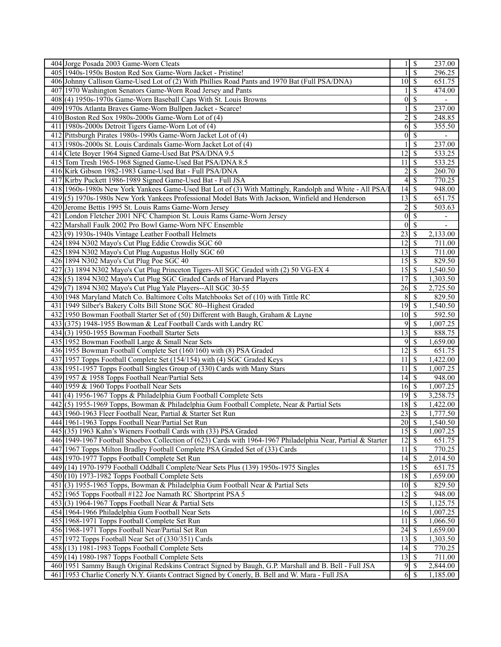| 404 Jorge Posada 2003 Game-Worn Cleats                                                                       |                                 | $\sqrt{s}$               | 237.00                   |
|--------------------------------------------------------------------------------------------------------------|---------------------------------|--------------------------|--------------------------|
| 405 1940s-1950s Boston Red Sox Game-Worn Jacket - Pristine!                                                  |                                 | $\mathbf S$              | 296.25                   |
| 406 Johnny Callison Game-Used Lot of (2) With Phillies Road Pants and 1970 Bat (Full PSA/DNA)                | $10 \mid S$                     |                          | 651.75                   |
| 407 1970 Washington Senators Game-Worn Road Jersey and Pants                                                 |                                 | \$                       | 474.00                   |
| 408(4) 1950s-1970s Game-Worn Baseball Caps With St. Louis Browns                                             | $\overline{0}$                  | <sup>\$</sup>            |                          |
| 409 1970s Atlanta Braves Game-Worn Bullpen Jacket - Scarce!                                                  |                                 | \$                       | 237.00                   |
| 410 Boston Red Sox 1980s-2000s Game-Worn Lot of (4)                                                          | $\overline{c}$                  | $\mathbb{S}$             | 248.85                   |
| 411 1980s-2000s Detroit Tigers Game-Worn Lot of (4)                                                          | 6                               | $\sqrt{s}$               | 355.50                   |
| 412 Pittsburgh Pirates 1980s-1990s Game-Worn Jacket Lot of (4)                                               | $\overline{0}$                  | \$                       |                          |
| 413 1980s-2000s St. Louis Cardinals Game-Worn Jacket Lot of (4)                                              |                                 | \$                       | 237.00                   |
| 414 Clete Boyer 1964 Signed Game-Used Bat PSA/DNA 9.5                                                        | 12                              | l \$                     | 533.25                   |
| 415 Tom Tresh 1965-1968 Signed Game-Used Bat PSA/DNA 8.5                                                     | 11                              | \$                       | 533.25                   |
|                                                                                                              |                                 | $\overline{\mathcal{S}}$ |                          |
| 416 Kirk Gibson 1982-1983 Game-Used Bat - Full PSA/DNA                                                       | $\overline{2}$                  |                          | 260.70                   |
| 417 Kirby Puckett 1986-1989 Signed Game-Used Bat - Full JSA                                                  |                                 | $4 \overline{\sqrt{}}$   | 770.25                   |
| 418 1960s-1980s New York Yankees Game-Used Bat Lot of (3) With Mattingly, Randolph and White - All PSA/I     | $\overline{14}$ \$              |                          | 948.00                   |
| 419(5) 1970s-1980s New York Yankees Professional Model Bats With Jackson, Winfield and Henderson             | $13 \mid$ \$                    |                          | 651.75                   |
| 420 Jerome Bettis 1995 St. Louis Rams Game-Worn Jersey                                                       | $\overline{c}$                  | \$                       | 503.63                   |
| 421 London Fletcher 2001 NFC Champion St. Louis Rams Game-Worn Jersey                                        |                                 | $0\sqrt{5}$              | $\overline{\phantom{a}}$ |
| 422 Marshall Faulk 2002 Pro Bowl Game-Worn NFC Ensemble                                                      | $\overline{0}$                  | $\sqrt{s}$               |                          |
| 423(9) 1930s-1940s Vintage Leather Football Helmets                                                          | 23                              | $\overline{\mathbf{s}}$  | 2,133.00                 |
| 424 1894 N302 Mayo's Cut Plug Eddie Crowdis SGC 60                                                           | $12 \mid$ \$                    |                          | 711.00                   |
| 425 1894 N302 Mayo's Cut Plug Augustus Holly SGC 60                                                          | $13 \mid$ \$                    |                          | 711.00                   |
| 426 1894 N302 Mayo's Cut Plug Poe SGC 40                                                                     |                                 |                          | 829.50                   |
| 427(3) 1894 N302 Mayo's Cut Plug Princeton Tigers-All SGC Graded with (2) 50 VG-EX 4                         | 15S                             |                          | 1,540.50                 |
| 428 (5) 1894 N302 Mayo's Cut Plug SGC Graded Cards of Harvard Players                                        | 17S                             |                          | 1,303.50                 |
| 429(7) 1894 N302 Mayo's Cut Plug Yale Players--All SGC 30-55                                                 | $\overline{26}$ \$              |                          | 2,725.50                 |
| 430 1948 Maryland Match Co. Baltimore Colts Matchbooks Set of (10) with Tittle RC                            |                                 | 8S                       | 829.50                   |
| 431 1949 Silber's Bakery Colts Bill Stone SGC 80--Highest Graded                                             | $\overline{19}$ \$              |                          | 1,540.50                 |
| 432 1950 Bowman Football Starter Set of (50) Different with Baugh, Graham & Layne                            | $10\overline{\smash{)}\,}$      |                          | 592.50                   |
| 433(375) 1948-1955 Bowman & Leaf Football Cards with Landry RC                                               | 9                               | $\overline{\mathcal{S}}$ | 1,007.25                 |
| $434(3)$ 1950-1955 Bowman Football Starter Sets                                                              | 13                              | $\overline{\mathcal{S}}$ | 888.75                   |
| 435 1952 Bowman Football Large & Small Near Sets                                                             |                                 | 9S                       |                          |
| 436 1955 Bowman Football Complete Set (160/160) with (8) PSA Graded                                          | $12 \mid$ \$                    |                          | 1,659.00<br>651.75       |
|                                                                                                              |                                 | \$                       |                          |
| 437 1957 Topps Football Complete Set (154/154) with (4) SGC Graded Keys                                      | 11<br>11                        | l \$                     | 1,422.00<br>1,007.25     |
| 438 1951-1957 Topps Football Singles Group of (330) Cards with Many Stars                                    | $14 \overline{\smash{)}\,}$     |                          |                          |
| 439 1957 & 1958 Topps Football Near/Partial Sets                                                             |                                 |                          | 948.00                   |
| 440 1959 & 1960 Topps Football Near Sets                                                                     | $16 \overline{\smash{)}\,}$     |                          | 1,007.25                 |
| 441 (4) 1956-1967 Topps & Philadelphia Gum Football Complete Sets                                            | $19$ $\sqrt{5}$                 |                          | 3,258.75                 |
| 442(5) 1955-1969 Topps, Bowman & Philadelphia Gum Football Complete, Near & Partial Sets                     | 18S                             |                          | 1,422.00                 |
| 443 1960-1963 Fleer Football Near, Partial & Starter Set Run                                                 |                                 |                          | 1,777.50                 |
| 444 1961-1963 Topps Football Near/Partial Set Run                                                            | $\overline{20}$ \$              |                          | 1,540.50                 |
| 445 (35) 1963 Kahn's Wieners Football Cards with (33) PSA Graded                                             | $15 \mid$ \$                    |                          | 1,007.25                 |
| 446 1949-1967 Football Shoebox Collection of (623) Cards with 1964-1967 Philadelphia Near, Partial & Starter | $\overline{12}$ \$              |                          | $\overline{651.75}$      |
| 447 1967 Topps Milton Bradley Football Complete PSA Graded Set of (33) Cards                                 | $11 \overline{\smash{\big)}\,}$ |                          | 770.25                   |
| 448 1970-1977 Topps Football Complete Set Run                                                                | $14 \mid$ \$                    |                          | 2,014.50                 |
| 449 (14) 1970-1979 Football Oddball Complete/Near Sets Plus (139) 1950s-1975 Singles                         | 15S                             |                          | 651.75                   |
| $450(10)$ 1973-1982 Topps Football Complete Sets                                                             | $18 \overline{\smash{)}\,5}$    |                          | 1,659.00                 |
| 451 (3) 1955-1965 Topps, Bowman & Philadelphia Gum Football Near & Partial Sets                              | $10 \overline{\smash{)}\,}$     |                          | 829.50                   |
| 452 1965 Topps Football #122 Joe Namath RC Shortprint PSA 5                                                  | $\overline{12}$                 | $\overline{\mathcal{S}}$ | 948.00                   |
| 453 (3) 1964-1967 Topps Football Near & Partial Sets                                                         | $15 \overline{\smash{\big)} }$  |                          | 1,125.75                 |
| 454 1964-1966 Philadelphia Gum Football Near Sets                                                            | $16 \mid$ \$                    |                          | 1,007.25                 |
| 455 1968-1971 Topps Football Complete Set Run                                                                | $\overline{11}$                 | \$                       | 1,066.50                 |
| 456 1968-1971 Topps Football Near/Partial Set Run                                                            | 24S                             |                          | 1,659.00                 |
| 457 1972 Topps Football Near Set of (330/351) Cards                                                          | $13 \mid$ \$                    |                          | 1,303.50                 |
| $458(13)$ 1981-1983 Topps Football Complete Sets                                                             | $14 \overline{\smash{)}\,}$     |                          | 770.25                   |
| $459(14) 1980-1987$ Topps Football Complete Sets                                                             | $13 \mid$ \$                    |                          | 711.00                   |
|                                                                                                              |                                 |                          | 2,844.00                 |
| 460 1951 Sammy Baugh Original Redskins Contract Signed by Baugh, G.P. Marshall and B. Bell - Full JSA        |                                 | 6S                       |                          |
| 461 1953 Charlie Conerly N.Y. Giants Contract Signed by Conerly, B. Bell and W. Mara - Full JSA              |                                 |                          | 1,185.00                 |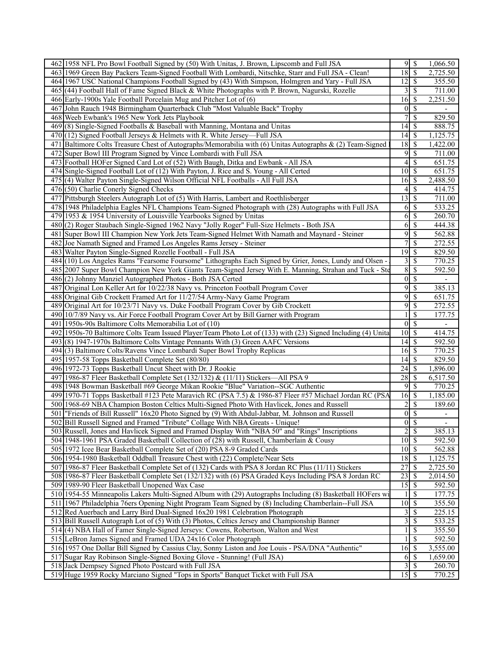| 18<br>$\sqrt{s}$<br>2,725.50<br>463 1969 Green Bay Packers Team-Signed Football With Lombardi, Nitschke, Starr and Full JSA - Clean!<br>$\overline{12}$ \$<br>355.50<br>464 1967 USC National Champions Football Signed by (43) With Simpson, Holmgren and Yary - Full JSA<br>465 (44) Football Hall of Fame Signed Black & White Photographs with P. Brown, Nagurski, Rozelle<br>  \$<br>3<br>711.00<br>466 Early-1900s Yale Football Porcelain Mug and Pitcher Lot of (6)<br>$16 \mid$ \$<br>2,251.50<br>$0\vert$ \$<br>467 John Rauch 1948 Birmingham Quarterback Club "Most Valuable Back" Trophy<br>$\mathbb{S}$<br>468 Weeb Ewbank's 1965 New York Jets Playbook<br>829.50<br>$\overline{14}$ \$<br>469(8) Single-Signed Footballs & Baseball with Manning, Montana and Unitas<br>888.75<br>470 (12) Signed Football Jerseys & Helmets with R. White Jersey—Full JSA<br>1,125.75<br>471 Baltimore Colts Treasure Chest of Autographs/Memorabilia with (6) Unitas Autographs & (2) Team-Signed<br>$18 \mid$ \$<br>1,422.00<br>9<br>472 Super Bowl III Program Signed by Vince Lombardi with Full JSA<br>  S<br>711.00<br>$4\sqrt{5}$<br>473 Football HOFer Signed Card Lot of (52) With Baugh, Ditka and Ewbank - All JSA<br>651.75<br>$10 \overline{\smash{)}\,$ \$<br>651.75<br>474 Single-Signed Football Lot of (12) With Payton, J. Rice and S. Young - All Certed<br>$16 \overline{\smash{\big)}\,}$<br>2,488.50<br>475(4) Walter Payton Single-Signed Wilson Official NFL Footballs - All Full JSA<br>$476$ (50) Charlie Conerly Signed Checks<br>  S<br>414.75<br>4<br>477 Pittsburgh Steelers Autograph Lot of (5) With Harris, Lambert and Roethlisberger<br>13<br>  \$<br>711.00<br>$\mathbb{S}$<br>478 1948 Philadelphia Eagles NFL Champions Team-Signed Photograph with (28) Autographs with Full JSA<br>533.25<br>6<br>-\$<br>479 1953 & 1954 University of Louisville Yearbooks Signed by Unitas<br>6<br>260.70<br>$\sqrt{s}$<br>480 (2) Roger Staubach Single-Signed 1962 Navy "Jolly Roger" Full-Size Helmets - Both JSA<br>6<br>444.38<br>9<br>$\overline{\mathcal{S}}$<br>562.88<br>481 Super Bowl III Champion New York Jets Team-Signed Helmet With Namath and Maynard - Steiner<br>\$<br>482 Joe Namath Signed and Framed Los Angeles Rams Jersey - Steiner<br>272.55<br>483 Walter Payton Single-Signed Rozelle Football - Full JSA<br>19<br>$\vert$ \$<br>829.50<br>484 (10) Los Angeles Rams "Fearsome Foursome" Lithographs Each Signed by Grier, Jones, Lundy and Olsen -<br>$\overline{3}$<br>  \$<br>770.25<br>$\boldsymbol{8}$<br>485 2007 Super Bowl Champion New York Giants Team-Signed Jersey With E. Manning, Strahan and Tuck - Ste<br>  \$<br>592.50<br>$\overline{0}$<br>$\sqrt{s}$<br>486(2) Johnny Manziel Autographed Photos - Both JSA Certed<br>9<br>$\overline{\mathcal{S}}$<br>385.13<br>487 Original Lon Keller Art for 10/22/38 Navy vs. Princeton Football Program Cover<br>9<br>$\mathcal{S}$<br>651.75<br>488 Original Gib Crockett Framed Art for 11/27/54 Army-Navy Game Program<br>9<br>\$<br>272.55<br>489 Original Art for 10/23/71 Navy vs. Duke Football Program Cover by Gib Crockett<br>$\overline{\mathcal{S}}$<br>177.75<br>490 10/7/89 Navy vs. Air Force Football Program Cover Art by Bill Garner with Program<br>1<br>$\overline{0}$ $\overline{s}$<br>491 1950s-90s Baltimore Colts Memorabilia Lot of (10)<br>$\overline{\phantom{a}}$<br>$10\overline{\smash{)}\,}$<br>492 1950s-70 Baltimore Colts Team Issued Player/Team Photo Lot of (133) with (23) Signed Including (4) Unita<br>414.75<br>$14 \overline{\smash{)}\,}$<br>493(8) 1947-1970s Baltimore Colts Vintage Pennants With (3) Green AAFC Versions<br>592.50<br>$16\overline{\smash{)}\,}$<br>494(3) Baltimore Colts/Ravens Vince Lombardi Super Bowl Trophy Replicas<br>770.25<br>495 1957-58 Topps Basketball Complete Set (80/80)<br>829.50<br>$24 \mid$ \$<br>1,896.00<br>496 1972-73 Topps Basketball Uncut Sheet with Dr. J Rookie<br>28<br>  \$<br>497 1986-87 Fleer Basketball Complete Set (132/132) & (11/11) Stickers—All PSA 9<br>6,517.50<br>9<br>  \$<br>498 1948 Bowman Basketball #69 George Mikan Rookie "Blue" Variation--SGC Authentic<br>770.25<br>$16 \overline{\smash{)}\,}$<br>1,185.00<br>499 1970-71 Topps Basketball #123 Pete Maravich RC (PSA 7.5) & 1986-87 Fleer #57 Michael Jordan RC (PSA<br>500 1968-69 NBA Champion Boston Celtics Multi-Signed Photo With Havlicek, Jones and Russell<br>$\overline{\mathbf{c}}$<br>-\$<br>189.60<br>501 Friends of Bill Russell" 16x20 Photo Signed by (9) With Abdul-Jabbar, M. Johnson and Russell<br>$\boldsymbol{0}$<br>$\mathcal{S}$<br>-<br>$0\sqrt{s}$<br>502 Bill Russell Signed and Framed "Tribute" Collage With NBA Greats - Unique!<br>$\overline{\phantom{a}}$<br>503 Russell, Jones and Havlicek Signed and Framed Display With "NBA 50" and "Rings" Inscriptions<br>$2 \mid$ \$<br>385.13<br>$10\overline{\smash{)}\,}$<br>$\overline{592.50}$<br>504 1948-1961 PSA Graded Basketball Collection of (28) with Russell, Chamberlain & Cousy<br>$10\overline{\smash{)}\,}$<br>$\frac{1}{562.88}$<br>505 1972 Icee Bear Basketball Complete Set of (20) PSA 8-9 Graded Cards<br>$18$ $\overline{\phantom{1}}$<br>506 1954-1980 Basketball Oddball Treasure Chest with (22) Complete/Near Sets<br>1,125.75<br>27<br>507 1986-87 Fleer Basketball Complete Set of (132) Cards with PSA 8 Jordan RC Plus (11/11) Stickers<br>  \$<br>2,725.50<br>23<br>508 1986-87 Fleer Basketball Complete Set (132/132) with (6) PSA Graded Keys Including PSA 8 Jordan RC<br>  \$<br>2,014.50<br>$15 \overline{\smash{)}\,}$<br>592.50<br>509 1989-90 Fleer Basketball Unopened Wax Case<br>510 1954-55 Minneapolis Lakers Multi-Signed Album with (29) Autographs Including (8) Basketball HOFers wi<br>$\mathbb{S}$<br>177.75<br>$10 \overline{\smash{)}\,$ \$<br>511 1967 Philadelphia 76ers Opening Night Program Team Signed by (8) Including Chamberlain--Full JSA<br>355.50<br>512 Red Auerbach and Larry Bird Dual-Signed 16x20 1981 Celebration Photograph<br>  \$<br>225.15<br>3<br>3<br>$\mathbb{S}$<br>533.25<br>513 Bill Russell Autograph Lot of (5) With (3) Photos, Celtics Jersey and Championship Banner<br>514 (4) NBA Hall of Famer Single-Signed Jerseys: Cowens, Robertson, Walton and West<br>-\$<br>355.50<br>$\overline{\mathcal{S}}$<br>515 LeBron James Signed and Framed UDA 24x16 Color Photograph<br>592.50<br>516 1957 One Dollar Bill Signed by Cassius Clay, Sonny Liston and Joe Louis - PSA/DNA "Authentic"<br>3,555.00<br>$6 \mid \$$<br>517 Sugar Ray Robinson Single-Signed Boxing Glove - Stunning! (Full JSA)<br>1,659.00<br>518 Jack Dempsey Signed Photo Postcard with Full JSA<br>260.70<br>$\overline{15}$ \$<br>519 Huge 1959 Rocky Marciano Signed "Tops in Sports" Banquet Ticket with Full JSA<br>770.25 | 462 1958 NFL Pro Bowl Football Signed by (50) With Unitas, J. Brown, Lipscomb and Full JSA | 95 | 1,066.50 |
|------------------------------------------------------------------------------------------------------------------------------------------------------------------------------------------------------------------------------------------------------------------------------------------------------------------------------------------------------------------------------------------------------------------------------------------------------------------------------------------------------------------------------------------------------------------------------------------------------------------------------------------------------------------------------------------------------------------------------------------------------------------------------------------------------------------------------------------------------------------------------------------------------------------------------------------------------------------------------------------------------------------------------------------------------------------------------------------------------------------------------------------------------------------------------------------------------------------------------------------------------------------------------------------------------------------------------------------------------------------------------------------------------------------------------------------------------------------------------------------------------------------------------------------------------------------------------------------------------------------------------------------------------------------------------------------------------------------------------------------------------------------------------------------------------------------------------------------------------------------------------------------------------------------------------------------------------------------------------------------------------------------------------------------------------------------------------------------------------------------------------------------------------------------------------------------------------------------------------------------------------------------------------------------------------------------------------------------------------------------------------------------------------------------------------------------------------------------------------------------------------------------------------------------------------------------------------------------------------------------------------------------------------------------------------------------------------------------------------------------------------------------------------------------------------------------------------------------------------------------------------------------------------------------------------------------------------------------------------------------------------------------------------------------------------------------------------------------------------------------------------------------------------------------------------------------------------------------------------------------------------------------------------------------------------------------------------------------------------------------------------------------------------------------------------------------------------------------------------------------------------------------------------------------------------------------------------------------------------------------------------------------------------------------------------------------------------------------------------------------------------------------------------------------------------------------------------------------------------------------------------------------------------------------------------------------------------------------------------------------------------------------------------------------------------------------------------------------------------------------------------------------------------------------------------------------------------------------------------------------------------------------------------------------------------------------------------------------------------------------------------------------------------------------------------------------------------------------------------------------------------------------------------------------------------------------------------------------------------------------------------------------------------------------------------------------------------------------------------------------------------------------------------------------------------------------------------------------------------------------------------------------------------------------------------------------------------------------------------------------------------------------------------------------------------------------------------------------------------------------------------------------------------------------------------------------------------------------------------------------------------------------------------------------------------------------------------------------------------------------------------------------------------------------------------------------------------------------------------------------------------------------------------------------------------------------------------------------------------------------------------------------------------------------------------------------------------------------------------------------------------------------------------------------------------------------------------------------------------------------------------------------------------------------------------------------------------------------------------------------------------------------------------------------------------------------------------------------------------------------------------------------------------------------------------------------------------------------------------------------------------------------------------------------------------------------------------------------------------------------------------------------------------------------------------------------------------------------------------------------------------------------------------------------------------------------------------------------------------------------------------------------------------------------------------------------------------------------------------------------------------------------------------------------------------------------------------------------------------------------|--------------------------------------------------------------------------------------------|----|----------|
|                                                                                                                                                                                                                                                                                                                                                                                                                                                                                                                                                                                                                                                                                                                                                                                                                                                                                                                                                                                                                                                                                                                                                                                                                                                                                                                                                                                                                                                                                                                                                                                                                                                                                                                                                                                                                                                                                                                                                                                                                                                                                                                                                                                                                                                                                                                                                                                                                                                                                                                                                                                                                                                                                                                                                                                                                                                                                                                                                                                                                                                                                                                                                                                                                                                                                                                                                                                                                                                                                                                                                                                                                                                                                                                                                                                                                                                                                                                                                                                                                                                                                                                                                                                                                                                                                                                                                                                                                                                                                                                                                                                                                                                                                                                                                                                                                                                                                                                                                                                                                                                                                                                                                                                                                                                                                                                                                                                                                                                                                                                                                                                                                                                                                                                                                                                                                                                                                                                                                                                                                                                                                                                                                                                                                                                                                                                                                                                                                                                                                                                                                                                                                                                                                                                                                                                                                                                                  |                                                                                            |    |          |
|                                                                                                                                                                                                                                                                                                                                                                                                                                                                                                                                                                                                                                                                                                                                                                                                                                                                                                                                                                                                                                                                                                                                                                                                                                                                                                                                                                                                                                                                                                                                                                                                                                                                                                                                                                                                                                                                                                                                                                                                                                                                                                                                                                                                                                                                                                                                                                                                                                                                                                                                                                                                                                                                                                                                                                                                                                                                                                                                                                                                                                                                                                                                                                                                                                                                                                                                                                                                                                                                                                                                                                                                                                                                                                                                                                                                                                                                                                                                                                                                                                                                                                                                                                                                                                                                                                                                                                                                                                                                                                                                                                                                                                                                                                                                                                                                                                                                                                                                                                                                                                                                                                                                                                                                                                                                                                                                                                                                                                                                                                                                                                                                                                                                                                                                                                                                                                                                                                                                                                                                                                                                                                                                                                                                                                                                                                                                                                                                                                                                                                                                                                                                                                                                                                                                                                                                                                                                  |                                                                                            |    |          |
|                                                                                                                                                                                                                                                                                                                                                                                                                                                                                                                                                                                                                                                                                                                                                                                                                                                                                                                                                                                                                                                                                                                                                                                                                                                                                                                                                                                                                                                                                                                                                                                                                                                                                                                                                                                                                                                                                                                                                                                                                                                                                                                                                                                                                                                                                                                                                                                                                                                                                                                                                                                                                                                                                                                                                                                                                                                                                                                                                                                                                                                                                                                                                                                                                                                                                                                                                                                                                                                                                                                                                                                                                                                                                                                                                                                                                                                                                                                                                                                                                                                                                                                                                                                                                                                                                                                                                                                                                                                                                                                                                                                                                                                                                                                                                                                                                                                                                                                                                                                                                                                                                                                                                                                                                                                                                                                                                                                                                                                                                                                                                                                                                                                                                                                                                                                                                                                                                                                                                                                                                                                                                                                                                                                                                                                                                                                                                                                                                                                                                                                                                                                                                                                                                                                                                                                                                                                                  |                                                                                            |    |          |
|                                                                                                                                                                                                                                                                                                                                                                                                                                                                                                                                                                                                                                                                                                                                                                                                                                                                                                                                                                                                                                                                                                                                                                                                                                                                                                                                                                                                                                                                                                                                                                                                                                                                                                                                                                                                                                                                                                                                                                                                                                                                                                                                                                                                                                                                                                                                                                                                                                                                                                                                                                                                                                                                                                                                                                                                                                                                                                                                                                                                                                                                                                                                                                                                                                                                                                                                                                                                                                                                                                                                                                                                                                                                                                                                                                                                                                                                                                                                                                                                                                                                                                                                                                                                                                                                                                                                                                                                                                                                                                                                                                                                                                                                                                                                                                                                                                                                                                                                                                                                                                                                                                                                                                                                                                                                                                                                                                                                                                                                                                                                                                                                                                                                                                                                                                                                                                                                                                                                                                                                                                                                                                                                                                                                                                                                                                                                                                                                                                                                                                                                                                                                                                                                                                                                                                                                                                                                  |                                                                                            |    |          |
|                                                                                                                                                                                                                                                                                                                                                                                                                                                                                                                                                                                                                                                                                                                                                                                                                                                                                                                                                                                                                                                                                                                                                                                                                                                                                                                                                                                                                                                                                                                                                                                                                                                                                                                                                                                                                                                                                                                                                                                                                                                                                                                                                                                                                                                                                                                                                                                                                                                                                                                                                                                                                                                                                                                                                                                                                                                                                                                                                                                                                                                                                                                                                                                                                                                                                                                                                                                                                                                                                                                                                                                                                                                                                                                                                                                                                                                                                                                                                                                                                                                                                                                                                                                                                                                                                                                                                                                                                                                                                                                                                                                                                                                                                                                                                                                                                                                                                                                                                                                                                                                                                                                                                                                                                                                                                                                                                                                                                                                                                                                                                                                                                                                                                                                                                                                                                                                                                                                                                                                                                                                                                                                                                                                                                                                                                                                                                                                                                                                                                                                                                                                                                                                                                                                                                                                                                                                                  |                                                                                            |    |          |
|                                                                                                                                                                                                                                                                                                                                                                                                                                                                                                                                                                                                                                                                                                                                                                                                                                                                                                                                                                                                                                                                                                                                                                                                                                                                                                                                                                                                                                                                                                                                                                                                                                                                                                                                                                                                                                                                                                                                                                                                                                                                                                                                                                                                                                                                                                                                                                                                                                                                                                                                                                                                                                                                                                                                                                                                                                                                                                                                                                                                                                                                                                                                                                                                                                                                                                                                                                                                                                                                                                                                                                                                                                                                                                                                                                                                                                                                                                                                                                                                                                                                                                                                                                                                                                                                                                                                                                                                                                                                                                                                                                                                                                                                                                                                                                                                                                                                                                                                                                                                                                                                                                                                                                                                                                                                                                                                                                                                                                                                                                                                                                                                                                                                                                                                                                                                                                                                                                                                                                                                                                                                                                                                                                                                                                                                                                                                                                                                                                                                                                                                                                                                                                                                                                                                                                                                                                                                  |                                                                                            |    |          |
|                                                                                                                                                                                                                                                                                                                                                                                                                                                                                                                                                                                                                                                                                                                                                                                                                                                                                                                                                                                                                                                                                                                                                                                                                                                                                                                                                                                                                                                                                                                                                                                                                                                                                                                                                                                                                                                                                                                                                                                                                                                                                                                                                                                                                                                                                                                                                                                                                                                                                                                                                                                                                                                                                                                                                                                                                                                                                                                                                                                                                                                                                                                                                                                                                                                                                                                                                                                                                                                                                                                                                                                                                                                                                                                                                                                                                                                                                                                                                                                                                                                                                                                                                                                                                                                                                                                                                                                                                                                                                                                                                                                                                                                                                                                                                                                                                                                                                                                                                                                                                                                                                                                                                                                                                                                                                                                                                                                                                                                                                                                                                                                                                                                                                                                                                                                                                                                                                                                                                                                                                                                                                                                                                                                                                                                                                                                                                                                                                                                                                                                                                                                                                                                                                                                                                                                                                                                                  |                                                                                            |    |          |
|                                                                                                                                                                                                                                                                                                                                                                                                                                                                                                                                                                                                                                                                                                                                                                                                                                                                                                                                                                                                                                                                                                                                                                                                                                                                                                                                                                                                                                                                                                                                                                                                                                                                                                                                                                                                                                                                                                                                                                                                                                                                                                                                                                                                                                                                                                                                                                                                                                                                                                                                                                                                                                                                                                                                                                                                                                                                                                                                                                                                                                                                                                                                                                                                                                                                                                                                                                                                                                                                                                                                                                                                                                                                                                                                                                                                                                                                                                                                                                                                                                                                                                                                                                                                                                                                                                                                                                                                                                                                                                                                                                                                                                                                                                                                                                                                                                                                                                                                                                                                                                                                                                                                                                                                                                                                                                                                                                                                                                                                                                                                                                                                                                                                                                                                                                                                                                                                                                                                                                                                                                                                                                                                                                                                                                                                                                                                                                                                                                                                                                                                                                                                                                                                                                                                                                                                                                                                  |                                                                                            |    |          |
|                                                                                                                                                                                                                                                                                                                                                                                                                                                                                                                                                                                                                                                                                                                                                                                                                                                                                                                                                                                                                                                                                                                                                                                                                                                                                                                                                                                                                                                                                                                                                                                                                                                                                                                                                                                                                                                                                                                                                                                                                                                                                                                                                                                                                                                                                                                                                                                                                                                                                                                                                                                                                                                                                                                                                                                                                                                                                                                                                                                                                                                                                                                                                                                                                                                                                                                                                                                                                                                                                                                                                                                                                                                                                                                                                                                                                                                                                                                                                                                                                                                                                                                                                                                                                                                                                                                                                                                                                                                                                                                                                                                                                                                                                                                                                                                                                                                                                                                                                                                                                                                                                                                                                                                                                                                                                                                                                                                                                                                                                                                                                                                                                                                                                                                                                                                                                                                                                                                                                                                                                                                                                                                                                                                                                                                                                                                                                                                                                                                                                                                                                                                                                                                                                                                                                                                                                                                                  |                                                                                            |    |          |
|                                                                                                                                                                                                                                                                                                                                                                                                                                                                                                                                                                                                                                                                                                                                                                                                                                                                                                                                                                                                                                                                                                                                                                                                                                                                                                                                                                                                                                                                                                                                                                                                                                                                                                                                                                                                                                                                                                                                                                                                                                                                                                                                                                                                                                                                                                                                                                                                                                                                                                                                                                                                                                                                                                                                                                                                                                                                                                                                                                                                                                                                                                                                                                                                                                                                                                                                                                                                                                                                                                                                                                                                                                                                                                                                                                                                                                                                                                                                                                                                                                                                                                                                                                                                                                                                                                                                                                                                                                                                                                                                                                                                                                                                                                                                                                                                                                                                                                                                                                                                                                                                                                                                                                                                                                                                                                                                                                                                                                                                                                                                                                                                                                                                                                                                                                                                                                                                                                                                                                                                                                                                                                                                                                                                                                                                                                                                                                                                                                                                                                                                                                                                                                                                                                                                                                                                                                                                  |                                                                                            |    |          |
|                                                                                                                                                                                                                                                                                                                                                                                                                                                                                                                                                                                                                                                                                                                                                                                                                                                                                                                                                                                                                                                                                                                                                                                                                                                                                                                                                                                                                                                                                                                                                                                                                                                                                                                                                                                                                                                                                                                                                                                                                                                                                                                                                                                                                                                                                                                                                                                                                                                                                                                                                                                                                                                                                                                                                                                                                                                                                                                                                                                                                                                                                                                                                                                                                                                                                                                                                                                                                                                                                                                                                                                                                                                                                                                                                                                                                                                                                                                                                                                                                                                                                                                                                                                                                                                                                                                                                                                                                                                                                                                                                                                                                                                                                                                                                                                                                                                                                                                                                                                                                                                                                                                                                                                                                                                                                                                                                                                                                                                                                                                                                                                                                                                                                                                                                                                                                                                                                                                                                                                                                                                                                                                                                                                                                                                                                                                                                                                                                                                                                                                                                                                                                                                                                                                                                                                                                                                                  |                                                                                            |    |          |
|                                                                                                                                                                                                                                                                                                                                                                                                                                                                                                                                                                                                                                                                                                                                                                                                                                                                                                                                                                                                                                                                                                                                                                                                                                                                                                                                                                                                                                                                                                                                                                                                                                                                                                                                                                                                                                                                                                                                                                                                                                                                                                                                                                                                                                                                                                                                                                                                                                                                                                                                                                                                                                                                                                                                                                                                                                                                                                                                                                                                                                                                                                                                                                                                                                                                                                                                                                                                                                                                                                                                                                                                                                                                                                                                                                                                                                                                                                                                                                                                                                                                                                                                                                                                                                                                                                                                                                                                                                                                                                                                                                                                                                                                                                                                                                                                                                                                                                                                                                                                                                                                                                                                                                                                                                                                                                                                                                                                                                                                                                                                                                                                                                                                                                                                                                                                                                                                                                                                                                                                                                                                                                                                                                                                                                                                                                                                                                                                                                                                                                                                                                                                                                                                                                                                                                                                                                                                  |                                                                                            |    |          |
|                                                                                                                                                                                                                                                                                                                                                                                                                                                                                                                                                                                                                                                                                                                                                                                                                                                                                                                                                                                                                                                                                                                                                                                                                                                                                                                                                                                                                                                                                                                                                                                                                                                                                                                                                                                                                                                                                                                                                                                                                                                                                                                                                                                                                                                                                                                                                                                                                                                                                                                                                                                                                                                                                                                                                                                                                                                                                                                                                                                                                                                                                                                                                                                                                                                                                                                                                                                                                                                                                                                                                                                                                                                                                                                                                                                                                                                                                                                                                                                                                                                                                                                                                                                                                                                                                                                                                                                                                                                                                                                                                                                                                                                                                                                                                                                                                                                                                                                                                                                                                                                                                                                                                                                                                                                                                                                                                                                                                                                                                                                                                                                                                                                                                                                                                                                                                                                                                                                                                                                                                                                                                                                                                                                                                                                                                                                                                                                                                                                                                                                                                                                                                                                                                                                                                                                                                                                                  |                                                                                            |    |          |
|                                                                                                                                                                                                                                                                                                                                                                                                                                                                                                                                                                                                                                                                                                                                                                                                                                                                                                                                                                                                                                                                                                                                                                                                                                                                                                                                                                                                                                                                                                                                                                                                                                                                                                                                                                                                                                                                                                                                                                                                                                                                                                                                                                                                                                                                                                                                                                                                                                                                                                                                                                                                                                                                                                                                                                                                                                                                                                                                                                                                                                                                                                                                                                                                                                                                                                                                                                                                                                                                                                                                                                                                                                                                                                                                                                                                                                                                                                                                                                                                                                                                                                                                                                                                                                                                                                                                                                                                                                                                                                                                                                                                                                                                                                                                                                                                                                                                                                                                                                                                                                                                                                                                                                                                                                                                                                                                                                                                                                                                                                                                                                                                                                                                                                                                                                                                                                                                                                                                                                                                                                                                                                                                                                                                                                                                                                                                                                                                                                                                                                                                                                                                                                                                                                                                                                                                                                                                  |                                                                                            |    |          |
|                                                                                                                                                                                                                                                                                                                                                                                                                                                                                                                                                                                                                                                                                                                                                                                                                                                                                                                                                                                                                                                                                                                                                                                                                                                                                                                                                                                                                                                                                                                                                                                                                                                                                                                                                                                                                                                                                                                                                                                                                                                                                                                                                                                                                                                                                                                                                                                                                                                                                                                                                                                                                                                                                                                                                                                                                                                                                                                                                                                                                                                                                                                                                                                                                                                                                                                                                                                                                                                                                                                                                                                                                                                                                                                                                                                                                                                                                                                                                                                                                                                                                                                                                                                                                                                                                                                                                                                                                                                                                                                                                                                                                                                                                                                                                                                                                                                                                                                                                                                                                                                                                                                                                                                                                                                                                                                                                                                                                                                                                                                                                                                                                                                                                                                                                                                                                                                                                                                                                                                                                                                                                                                                                                                                                                                                                                                                                                                                                                                                                                                                                                                                                                                                                                                                                                                                                                                                  |                                                                                            |    |          |
|                                                                                                                                                                                                                                                                                                                                                                                                                                                                                                                                                                                                                                                                                                                                                                                                                                                                                                                                                                                                                                                                                                                                                                                                                                                                                                                                                                                                                                                                                                                                                                                                                                                                                                                                                                                                                                                                                                                                                                                                                                                                                                                                                                                                                                                                                                                                                                                                                                                                                                                                                                                                                                                                                                                                                                                                                                                                                                                                                                                                                                                                                                                                                                                                                                                                                                                                                                                                                                                                                                                                                                                                                                                                                                                                                                                                                                                                                                                                                                                                                                                                                                                                                                                                                                                                                                                                                                                                                                                                                                                                                                                                                                                                                                                                                                                                                                                                                                                                                                                                                                                                                                                                                                                                                                                                                                                                                                                                                                                                                                                                                                                                                                                                                                                                                                                                                                                                                                                                                                                                                                                                                                                                                                                                                                                                                                                                                                                                                                                                                                                                                                                                                                                                                                                                                                                                                                                                  |                                                                                            |    |          |
|                                                                                                                                                                                                                                                                                                                                                                                                                                                                                                                                                                                                                                                                                                                                                                                                                                                                                                                                                                                                                                                                                                                                                                                                                                                                                                                                                                                                                                                                                                                                                                                                                                                                                                                                                                                                                                                                                                                                                                                                                                                                                                                                                                                                                                                                                                                                                                                                                                                                                                                                                                                                                                                                                                                                                                                                                                                                                                                                                                                                                                                                                                                                                                                                                                                                                                                                                                                                                                                                                                                                                                                                                                                                                                                                                                                                                                                                                                                                                                                                                                                                                                                                                                                                                                                                                                                                                                                                                                                                                                                                                                                                                                                                                                                                                                                                                                                                                                                                                                                                                                                                                                                                                                                                                                                                                                                                                                                                                                                                                                                                                                                                                                                                                                                                                                                                                                                                                                                                                                                                                                                                                                                                                                                                                                                                                                                                                                                                                                                                                                                                                                                                                                                                                                                                                                                                                                                                  |                                                                                            |    |          |
|                                                                                                                                                                                                                                                                                                                                                                                                                                                                                                                                                                                                                                                                                                                                                                                                                                                                                                                                                                                                                                                                                                                                                                                                                                                                                                                                                                                                                                                                                                                                                                                                                                                                                                                                                                                                                                                                                                                                                                                                                                                                                                                                                                                                                                                                                                                                                                                                                                                                                                                                                                                                                                                                                                                                                                                                                                                                                                                                                                                                                                                                                                                                                                                                                                                                                                                                                                                                                                                                                                                                                                                                                                                                                                                                                                                                                                                                                                                                                                                                                                                                                                                                                                                                                                                                                                                                                                                                                                                                                                                                                                                                                                                                                                                                                                                                                                                                                                                                                                                                                                                                                                                                                                                                                                                                                                                                                                                                                                                                                                                                                                                                                                                                                                                                                                                                                                                                                                                                                                                                                                                                                                                                                                                                                                                                                                                                                                                                                                                                                                                                                                                                                                                                                                                                                                                                                                                                  |                                                                                            |    |          |
|                                                                                                                                                                                                                                                                                                                                                                                                                                                                                                                                                                                                                                                                                                                                                                                                                                                                                                                                                                                                                                                                                                                                                                                                                                                                                                                                                                                                                                                                                                                                                                                                                                                                                                                                                                                                                                                                                                                                                                                                                                                                                                                                                                                                                                                                                                                                                                                                                                                                                                                                                                                                                                                                                                                                                                                                                                                                                                                                                                                                                                                                                                                                                                                                                                                                                                                                                                                                                                                                                                                                                                                                                                                                                                                                                                                                                                                                                                                                                                                                                                                                                                                                                                                                                                                                                                                                                                                                                                                                                                                                                                                                                                                                                                                                                                                                                                                                                                                                                                                                                                                                                                                                                                                                                                                                                                                                                                                                                                                                                                                                                                                                                                                                                                                                                                                                                                                                                                                                                                                                                                                                                                                                                                                                                                                                                                                                                                                                                                                                                                                                                                                                                                                                                                                                                                                                                                                                  |                                                                                            |    |          |
|                                                                                                                                                                                                                                                                                                                                                                                                                                                                                                                                                                                                                                                                                                                                                                                                                                                                                                                                                                                                                                                                                                                                                                                                                                                                                                                                                                                                                                                                                                                                                                                                                                                                                                                                                                                                                                                                                                                                                                                                                                                                                                                                                                                                                                                                                                                                                                                                                                                                                                                                                                                                                                                                                                                                                                                                                                                                                                                                                                                                                                                                                                                                                                                                                                                                                                                                                                                                                                                                                                                                                                                                                                                                                                                                                                                                                                                                                                                                                                                                                                                                                                                                                                                                                                                                                                                                                                                                                                                                                                                                                                                                                                                                                                                                                                                                                                                                                                                                                                                                                                                                                                                                                                                                                                                                                                                                                                                                                                                                                                                                                                                                                                                                                                                                                                                                                                                                                                                                                                                                                                                                                                                                                                                                                                                                                                                                                                                                                                                                                                                                                                                                                                                                                                                                                                                                                                                                  |                                                                                            |    |          |
|                                                                                                                                                                                                                                                                                                                                                                                                                                                                                                                                                                                                                                                                                                                                                                                                                                                                                                                                                                                                                                                                                                                                                                                                                                                                                                                                                                                                                                                                                                                                                                                                                                                                                                                                                                                                                                                                                                                                                                                                                                                                                                                                                                                                                                                                                                                                                                                                                                                                                                                                                                                                                                                                                                                                                                                                                                                                                                                                                                                                                                                                                                                                                                                                                                                                                                                                                                                                                                                                                                                                                                                                                                                                                                                                                                                                                                                                                                                                                                                                                                                                                                                                                                                                                                                                                                                                                                                                                                                                                                                                                                                                                                                                                                                                                                                                                                                                                                                                                                                                                                                                                                                                                                                                                                                                                                                                                                                                                                                                                                                                                                                                                                                                                                                                                                                                                                                                                                                                                                                                                                                                                                                                                                                                                                                                                                                                                                                                                                                                                                                                                                                                                                                                                                                                                                                                                                                                  |                                                                                            |    |          |
|                                                                                                                                                                                                                                                                                                                                                                                                                                                                                                                                                                                                                                                                                                                                                                                                                                                                                                                                                                                                                                                                                                                                                                                                                                                                                                                                                                                                                                                                                                                                                                                                                                                                                                                                                                                                                                                                                                                                                                                                                                                                                                                                                                                                                                                                                                                                                                                                                                                                                                                                                                                                                                                                                                                                                                                                                                                                                                                                                                                                                                                                                                                                                                                                                                                                                                                                                                                                                                                                                                                                                                                                                                                                                                                                                                                                                                                                                                                                                                                                                                                                                                                                                                                                                                                                                                                                                                                                                                                                                                                                                                                                                                                                                                                                                                                                                                                                                                                                                                                                                                                                                                                                                                                                                                                                                                                                                                                                                                                                                                                                                                                                                                                                                                                                                                                                                                                                                                                                                                                                                                                                                                                                                                                                                                                                                                                                                                                                                                                                                                                                                                                                                                                                                                                                                                                                                                                                  |                                                                                            |    |          |
|                                                                                                                                                                                                                                                                                                                                                                                                                                                                                                                                                                                                                                                                                                                                                                                                                                                                                                                                                                                                                                                                                                                                                                                                                                                                                                                                                                                                                                                                                                                                                                                                                                                                                                                                                                                                                                                                                                                                                                                                                                                                                                                                                                                                                                                                                                                                                                                                                                                                                                                                                                                                                                                                                                                                                                                                                                                                                                                                                                                                                                                                                                                                                                                                                                                                                                                                                                                                                                                                                                                                                                                                                                                                                                                                                                                                                                                                                                                                                                                                                                                                                                                                                                                                                                                                                                                                                                                                                                                                                                                                                                                                                                                                                                                                                                                                                                                                                                                                                                                                                                                                                                                                                                                                                                                                                                                                                                                                                                                                                                                                                                                                                                                                                                                                                                                                                                                                                                                                                                                                                                                                                                                                                                                                                                                                                                                                                                                                                                                                                                                                                                                                                                                                                                                                                                                                                                                                  |                                                                                            |    |          |
|                                                                                                                                                                                                                                                                                                                                                                                                                                                                                                                                                                                                                                                                                                                                                                                                                                                                                                                                                                                                                                                                                                                                                                                                                                                                                                                                                                                                                                                                                                                                                                                                                                                                                                                                                                                                                                                                                                                                                                                                                                                                                                                                                                                                                                                                                                                                                                                                                                                                                                                                                                                                                                                                                                                                                                                                                                                                                                                                                                                                                                                                                                                                                                                                                                                                                                                                                                                                                                                                                                                                                                                                                                                                                                                                                                                                                                                                                                                                                                                                                                                                                                                                                                                                                                                                                                                                                                                                                                                                                                                                                                                                                                                                                                                                                                                                                                                                                                                                                                                                                                                                                                                                                                                                                                                                                                                                                                                                                                                                                                                                                                                                                                                                                                                                                                                                                                                                                                                                                                                                                                                                                                                                                                                                                                                                                                                                                                                                                                                                                                                                                                                                                                                                                                                                                                                                                                                                  |                                                                                            |    |          |
|                                                                                                                                                                                                                                                                                                                                                                                                                                                                                                                                                                                                                                                                                                                                                                                                                                                                                                                                                                                                                                                                                                                                                                                                                                                                                                                                                                                                                                                                                                                                                                                                                                                                                                                                                                                                                                                                                                                                                                                                                                                                                                                                                                                                                                                                                                                                                                                                                                                                                                                                                                                                                                                                                                                                                                                                                                                                                                                                                                                                                                                                                                                                                                                                                                                                                                                                                                                                                                                                                                                                                                                                                                                                                                                                                                                                                                                                                                                                                                                                                                                                                                                                                                                                                                                                                                                                                                                                                                                                                                                                                                                                                                                                                                                                                                                                                                                                                                                                                                                                                                                                                                                                                                                                                                                                                                                                                                                                                                                                                                                                                                                                                                                                                                                                                                                                                                                                                                                                                                                                                                                                                                                                                                                                                                                                                                                                                                                                                                                                                                                                                                                                                                                                                                                                                                                                                                                                  |                                                                                            |    |          |
|                                                                                                                                                                                                                                                                                                                                                                                                                                                                                                                                                                                                                                                                                                                                                                                                                                                                                                                                                                                                                                                                                                                                                                                                                                                                                                                                                                                                                                                                                                                                                                                                                                                                                                                                                                                                                                                                                                                                                                                                                                                                                                                                                                                                                                                                                                                                                                                                                                                                                                                                                                                                                                                                                                                                                                                                                                                                                                                                                                                                                                                                                                                                                                                                                                                                                                                                                                                                                                                                                                                                                                                                                                                                                                                                                                                                                                                                                                                                                                                                                                                                                                                                                                                                                                                                                                                                                                                                                                                                                                                                                                                                                                                                                                                                                                                                                                                                                                                                                                                                                                                                                                                                                                                                                                                                                                                                                                                                                                                                                                                                                                                                                                                                                                                                                                                                                                                                                                                                                                                                                                                                                                                                                                                                                                                                                                                                                                                                                                                                                                                                                                                                                                                                                                                                                                                                                                                                  |                                                                                            |    |          |
|                                                                                                                                                                                                                                                                                                                                                                                                                                                                                                                                                                                                                                                                                                                                                                                                                                                                                                                                                                                                                                                                                                                                                                                                                                                                                                                                                                                                                                                                                                                                                                                                                                                                                                                                                                                                                                                                                                                                                                                                                                                                                                                                                                                                                                                                                                                                                                                                                                                                                                                                                                                                                                                                                                                                                                                                                                                                                                                                                                                                                                                                                                                                                                                                                                                                                                                                                                                                                                                                                                                                                                                                                                                                                                                                                                                                                                                                                                                                                                                                                                                                                                                                                                                                                                                                                                                                                                                                                                                                                                                                                                                                                                                                                                                                                                                                                                                                                                                                                                                                                                                                                                                                                                                                                                                                                                                                                                                                                                                                                                                                                                                                                                                                                                                                                                                                                                                                                                                                                                                                                                                                                                                                                                                                                                                                                                                                                                                                                                                                                                                                                                                                                                                                                                                                                                                                                                                                  |                                                                                            |    |          |
|                                                                                                                                                                                                                                                                                                                                                                                                                                                                                                                                                                                                                                                                                                                                                                                                                                                                                                                                                                                                                                                                                                                                                                                                                                                                                                                                                                                                                                                                                                                                                                                                                                                                                                                                                                                                                                                                                                                                                                                                                                                                                                                                                                                                                                                                                                                                                                                                                                                                                                                                                                                                                                                                                                                                                                                                                                                                                                                                                                                                                                                                                                                                                                                                                                                                                                                                                                                                                                                                                                                                                                                                                                                                                                                                                                                                                                                                                                                                                                                                                                                                                                                                                                                                                                                                                                                                                                                                                                                                                                                                                                                                                                                                                                                                                                                                                                                                                                                                                                                                                                                                                                                                                                                                                                                                                                                                                                                                                                                                                                                                                                                                                                                                                                                                                                                                                                                                                                                                                                                                                                                                                                                                                                                                                                                                                                                                                                                                                                                                                                                                                                                                                                                                                                                                                                                                                                                                  |                                                                                            |    |          |
|                                                                                                                                                                                                                                                                                                                                                                                                                                                                                                                                                                                                                                                                                                                                                                                                                                                                                                                                                                                                                                                                                                                                                                                                                                                                                                                                                                                                                                                                                                                                                                                                                                                                                                                                                                                                                                                                                                                                                                                                                                                                                                                                                                                                                                                                                                                                                                                                                                                                                                                                                                                                                                                                                                                                                                                                                                                                                                                                                                                                                                                                                                                                                                                                                                                                                                                                                                                                                                                                                                                                                                                                                                                                                                                                                                                                                                                                                                                                                                                                                                                                                                                                                                                                                                                                                                                                                                                                                                                                                                                                                                                                                                                                                                                                                                                                                                                                                                                                                                                                                                                                                                                                                                                                                                                                                                                                                                                                                                                                                                                                                                                                                                                                                                                                                                                                                                                                                                                                                                                                                                                                                                                                                                                                                                                                                                                                                                                                                                                                                                                                                                                                                                                                                                                                                                                                                                                                  |                                                                                            |    |          |
|                                                                                                                                                                                                                                                                                                                                                                                                                                                                                                                                                                                                                                                                                                                                                                                                                                                                                                                                                                                                                                                                                                                                                                                                                                                                                                                                                                                                                                                                                                                                                                                                                                                                                                                                                                                                                                                                                                                                                                                                                                                                                                                                                                                                                                                                                                                                                                                                                                                                                                                                                                                                                                                                                                                                                                                                                                                                                                                                                                                                                                                                                                                                                                                                                                                                                                                                                                                                                                                                                                                                                                                                                                                                                                                                                                                                                                                                                                                                                                                                                                                                                                                                                                                                                                                                                                                                                                                                                                                                                                                                                                                                                                                                                                                                                                                                                                                                                                                                                                                                                                                                                                                                                                                                                                                                                                                                                                                                                                                                                                                                                                                                                                                                                                                                                                                                                                                                                                                                                                                                                                                                                                                                                                                                                                                                                                                                                                                                                                                                                                                                                                                                                                                                                                                                                                                                                                                                  |                                                                                            |    |          |
|                                                                                                                                                                                                                                                                                                                                                                                                                                                                                                                                                                                                                                                                                                                                                                                                                                                                                                                                                                                                                                                                                                                                                                                                                                                                                                                                                                                                                                                                                                                                                                                                                                                                                                                                                                                                                                                                                                                                                                                                                                                                                                                                                                                                                                                                                                                                                                                                                                                                                                                                                                                                                                                                                                                                                                                                                                                                                                                                                                                                                                                                                                                                                                                                                                                                                                                                                                                                                                                                                                                                                                                                                                                                                                                                                                                                                                                                                                                                                                                                                                                                                                                                                                                                                                                                                                                                                                                                                                                                                                                                                                                                                                                                                                                                                                                                                                                                                                                                                                                                                                                                                                                                                                                                                                                                                                                                                                                                                                                                                                                                                                                                                                                                                                                                                                                                                                                                                                                                                                                                                                                                                                                                                                                                                                                                                                                                                                                                                                                                                                                                                                                                                                                                                                                                                                                                                                                                  |                                                                                            |    |          |
|                                                                                                                                                                                                                                                                                                                                                                                                                                                                                                                                                                                                                                                                                                                                                                                                                                                                                                                                                                                                                                                                                                                                                                                                                                                                                                                                                                                                                                                                                                                                                                                                                                                                                                                                                                                                                                                                                                                                                                                                                                                                                                                                                                                                                                                                                                                                                                                                                                                                                                                                                                                                                                                                                                                                                                                                                                                                                                                                                                                                                                                                                                                                                                                                                                                                                                                                                                                                                                                                                                                                                                                                                                                                                                                                                                                                                                                                                                                                                                                                                                                                                                                                                                                                                                                                                                                                                                                                                                                                                                                                                                                                                                                                                                                                                                                                                                                                                                                                                                                                                                                                                                                                                                                                                                                                                                                                                                                                                                                                                                                                                                                                                                                                                                                                                                                                                                                                                                                                                                                                                                                                                                                                                                                                                                                                                                                                                                                                                                                                                                                                                                                                                                                                                                                                                                                                                                                                  |                                                                                            |    |          |
|                                                                                                                                                                                                                                                                                                                                                                                                                                                                                                                                                                                                                                                                                                                                                                                                                                                                                                                                                                                                                                                                                                                                                                                                                                                                                                                                                                                                                                                                                                                                                                                                                                                                                                                                                                                                                                                                                                                                                                                                                                                                                                                                                                                                                                                                                                                                                                                                                                                                                                                                                                                                                                                                                                                                                                                                                                                                                                                                                                                                                                                                                                                                                                                                                                                                                                                                                                                                                                                                                                                                                                                                                                                                                                                                                                                                                                                                                                                                                                                                                                                                                                                                                                                                                                                                                                                                                                                                                                                                                                                                                                                                                                                                                                                                                                                                                                                                                                                                                                                                                                                                                                                                                                                                                                                                                                                                                                                                                                                                                                                                                                                                                                                                                                                                                                                                                                                                                                                                                                                                                                                                                                                                                                                                                                                                                                                                                                                                                                                                                                                                                                                                                                                                                                                                                                                                                                                                  |                                                                                            |    |          |
|                                                                                                                                                                                                                                                                                                                                                                                                                                                                                                                                                                                                                                                                                                                                                                                                                                                                                                                                                                                                                                                                                                                                                                                                                                                                                                                                                                                                                                                                                                                                                                                                                                                                                                                                                                                                                                                                                                                                                                                                                                                                                                                                                                                                                                                                                                                                                                                                                                                                                                                                                                                                                                                                                                                                                                                                                                                                                                                                                                                                                                                                                                                                                                                                                                                                                                                                                                                                                                                                                                                                                                                                                                                                                                                                                                                                                                                                                                                                                                                                                                                                                                                                                                                                                                                                                                                                                                                                                                                                                                                                                                                                                                                                                                                                                                                                                                                                                                                                                                                                                                                                                                                                                                                                                                                                                                                                                                                                                                                                                                                                                                                                                                                                                                                                                                                                                                                                                                                                                                                                                                                                                                                                                                                                                                                                                                                                                                                                                                                                                                                                                                                                                                                                                                                                                                                                                                                                  |                                                                                            |    |          |
|                                                                                                                                                                                                                                                                                                                                                                                                                                                                                                                                                                                                                                                                                                                                                                                                                                                                                                                                                                                                                                                                                                                                                                                                                                                                                                                                                                                                                                                                                                                                                                                                                                                                                                                                                                                                                                                                                                                                                                                                                                                                                                                                                                                                                                                                                                                                                                                                                                                                                                                                                                                                                                                                                                                                                                                                                                                                                                                                                                                                                                                                                                                                                                                                                                                                                                                                                                                                                                                                                                                                                                                                                                                                                                                                                                                                                                                                                                                                                                                                                                                                                                                                                                                                                                                                                                                                                                                                                                                                                                                                                                                                                                                                                                                                                                                                                                                                                                                                                                                                                                                                                                                                                                                                                                                                                                                                                                                                                                                                                                                                                                                                                                                                                                                                                                                                                                                                                                                                                                                                                                                                                                                                                                                                                                                                                                                                                                                                                                                                                                                                                                                                                                                                                                                                                                                                                                                                  |                                                                                            |    |          |
|                                                                                                                                                                                                                                                                                                                                                                                                                                                                                                                                                                                                                                                                                                                                                                                                                                                                                                                                                                                                                                                                                                                                                                                                                                                                                                                                                                                                                                                                                                                                                                                                                                                                                                                                                                                                                                                                                                                                                                                                                                                                                                                                                                                                                                                                                                                                                                                                                                                                                                                                                                                                                                                                                                                                                                                                                                                                                                                                                                                                                                                                                                                                                                                                                                                                                                                                                                                                                                                                                                                                                                                                                                                                                                                                                                                                                                                                                                                                                                                                                                                                                                                                                                                                                                                                                                                                                                                                                                                                                                                                                                                                                                                                                                                                                                                                                                                                                                                                                                                                                                                                                                                                                                                                                                                                                                                                                                                                                                                                                                                                                                                                                                                                                                                                                                                                                                                                                                                                                                                                                                                                                                                                                                                                                                                                                                                                                                                                                                                                                                                                                                                                                                                                                                                                                                                                                                                                  |                                                                                            |    |          |
|                                                                                                                                                                                                                                                                                                                                                                                                                                                                                                                                                                                                                                                                                                                                                                                                                                                                                                                                                                                                                                                                                                                                                                                                                                                                                                                                                                                                                                                                                                                                                                                                                                                                                                                                                                                                                                                                                                                                                                                                                                                                                                                                                                                                                                                                                                                                                                                                                                                                                                                                                                                                                                                                                                                                                                                                                                                                                                                                                                                                                                                                                                                                                                                                                                                                                                                                                                                                                                                                                                                                                                                                                                                                                                                                                                                                                                                                                                                                                                                                                                                                                                                                                                                                                                                                                                                                                                                                                                                                                                                                                                                                                                                                                                                                                                                                                                                                                                                                                                                                                                                                                                                                                                                                                                                                                                                                                                                                                                                                                                                                                                                                                                                                                                                                                                                                                                                                                                                                                                                                                                                                                                                                                                                                                                                                                                                                                                                                                                                                                                                                                                                                                                                                                                                                                                                                                                                                  |                                                                                            |    |          |
|                                                                                                                                                                                                                                                                                                                                                                                                                                                                                                                                                                                                                                                                                                                                                                                                                                                                                                                                                                                                                                                                                                                                                                                                                                                                                                                                                                                                                                                                                                                                                                                                                                                                                                                                                                                                                                                                                                                                                                                                                                                                                                                                                                                                                                                                                                                                                                                                                                                                                                                                                                                                                                                                                                                                                                                                                                                                                                                                                                                                                                                                                                                                                                                                                                                                                                                                                                                                                                                                                                                                                                                                                                                                                                                                                                                                                                                                                                                                                                                                                                                                                                                                                                                                                                                                                                                                                                                                                                                                                                                                                                                                                                                                                                                                                                                                                                                                                                                                                                                                                                                                                                                                                                                                                                                                                                                                                                                                                                                                                                                                                                                                                                                                                                                                                                                                                                                                                                                                                                                                                                                                                                                                                                                                                                                                                                                                                                                                                                                                                                                                                                                                                                                                                                                                                                                                                                                                  |                                                                                            |    |          |
|                                                                                                                                                                                                                                                                                                                                                                                                                                                                                                                                                                                                                                                                                                                                                                                                                                                                                                                                                                                                                                                                                                                                                                                                                                                                                                                                                                                                                                                                                                                                                                                                                                                                                                                                                                                                                                                                                                                                                                                                                                                                                                                                                                                                                                                                                                                                                                                                                                                                                                                                                                                                                                                                                                                                                                                                                                                                                                                                                                                                                                                                                                                                                                                                                                                                                                                                                                                                                                                                                                                                                                                                                                                                                                                                                                                                                                                                                                                                                                                                                                                                                                                                                                                                                                                                                                                                                                                                                                                                                                                                                                                                                                                                                                                                                                                                                                                                                                                                                                                                                                                                                                                                                                                                                                                                                                                                                                                                                                                                                                                                                                                                                                                                                                                                                                                                                                                                                                                                                                                                                                                                                                                                                                                                                                                                                                                                                                                                                                                                                                                                                                                                                                                                                                                                                                                                                                                                  |                                                                                            |    |          |
|                                                                                                                                                                                                                                                                                                                                                                                                                                                                                                                                                                                                                                                                                                                                                                                                                                                                                                                                                                                                                                                                                                                                                                                                                                                                                                                                                                                                                                                                                                                                                                                                                                                                                                                                                                                                                                                                                                                                                                                                                                                                                                                                                                                                                                                                                                                                                                                                                                                                                                                                                                                                                                                                                                                                                                                                                                                                                                                                                                                                                                                                                                                                                                                                                                                                                                                                                                                                                                                                                                                                                                                                                                                                                                                                                                                                                                                                                                                                                                                                                                                                                                                                                                                                                                                                                                                                                                                                                                                                                                                                                                                                                                                                                                                                                                                                                                                                                                                                                                                                                                                                                                                                                                                                                                                                                                                                                                                                                                                                                                                                                                                                                                                                                                                                                                                                                                                                                                                                                                                                                                                                                                                                                                                                                                                                                                                                                                                                                                                                                                                                                                                                                                                                                                                                                                                                                                                                  |                                                                                            |    |          |
|                                                                                                                                                                                                                                                                                                                                                                                                                                                                                                                                                                                                                                                                                                                                                                                                                                                                                                                                                                                                                                                                                                                                                                                                                                                                                                                                                                                                                                                                                                                                                                                                                                                                                                                                                                                                                                                                                                                                                                                                                                                                                                                                                                                                                                                                                                                                                                                                                                                                                                                                                                                                                                                                                                                                                                                                                                                                                                                                                                                                                                                                                                                                                                                                                                                                                                                                                                                                                                                                                                                                                                                                                                                                                                                                                                                                                                                                                                                                                                                                                                                                                                                                                                                                                                                                                                                                                                                                                                                                                                                                                                                                                                                                                                                                                                                                                                                                                                                                                                                                                                                                                                                                                                                                                                                                                                                                                                                                                                                                                                                                                                                                                                                                                                                                                                                                                                                                                                                                                                                                                                                                                                                                                                                                                                                                                                                                                                                                                                                                                                                                                                                                                                                                                                                                                                                                                                                                  |                                                                                            |    |          |
|                                                                                                                                                                                                                                                                                                                                                                                                                                                                                                                                                                                                                                                                                                                                                                                                                                                                                                                                                                                                                                                                                                                                                                                                                                                                                                                                                                                                                                                                                                                                                                                                                                                                                                                                                                                                                                                                                                                                                                                                                                                                                                                                                                                                                                                                                                                                                                                                                                                                                                                                                                                                                                                                                                                                                                                                                                                                                                                                                                                                                                                                                                                                                                                                                                                                                                                                                                                                                                                                                                                                                                                                                                                                                                                                                                                                                                                                                                                                                                                                                                                                                                                                                                                                                                                                                                                                                                                                                                                                                                                                                                                                                                                                                                                                                                                                                                                                                                                                                                                                                                                                                                                                                                                                                                                                                                                                                                                                                                                                                                                                                                                                                                                                                                                                                                                                                                                                                                                                                                                                                                                                                                                                                                                                                                                                                                                                                                                                                                                                                                                                                                                                                                                                                                                                                                                                                                                                  |                                                                                            |    |          |
|                                                                                                                                                                                                                                                                                                                                                                                                                                                                                                                                                                                                                                                                                                                                                                                                                                                                                                                                                                                                                                                                                                                                                                                                                                                                                                                                                                                                                                                                                                                                                                                                                                                                                                                                                                                                                                                                                                                                                                                                                                                                                                                                                                                                                                                                                                                                                                                                                                                                                                                                                                                                                                                                                                                                                                                                                                                                                                                                                                                                                                                                                                                                                                                                                                                                                                                                                                                                                                                                                                                                                                                                                                                                                                                                                                                                                                                                                                                                                                                                                                                                                                                                                                                                                                                                                                                                                                                                                                                                                                                                                                                                                                                                                                                                                                                                                                                                                                                                                                                                                                                                                                                                                                                                                                                                                                                                                                                                                                                                                                                                                                                                                                                                                                                                                                                                                                                                                                                                                                                                                                                                                                                                                                                                                                                                                                                                                                                                                                                                                                                                                                                                                                                                                                                                                                                                                                                                  |                                                                                            |    |          |
|                                                                                                                                                                                                                                                                                                                                                                                                                                                                                                                                                                                                                                                                                                                                                                                                                                                                                                                                                                                                                                                                                                                                                                                                                                                                                                                                                                                                                                                                                                                                                                                                                                                                                                                                                                                                                                                                                                                                                                                                                                                                                                                                                                                                                                                                                                                                                                                                                                                                                                                                                                                                                                                                                                                                                                                                                                                                                                                                                                                                                                                                                                                                                                                                                                                                                                                                                                                                                                                                                                                                                                                                                                                                                                                                                                                                                                                                                                                                                                                                                                                                                                                                                                                                                                                                                                                                                                                                                                                                                                                                                                                                                                                                                                                                                                                                                                                                                                                                                                                                                                                                                                                                                                                                                                                                                                                                                                                                                                                                                                                                                                                                                                                                                                                                                                                                                                                                                                                                                                                                                                                                                                                                                                                                                                                                                                                                                                                                                                                                                                                                                                                                                                                                                                                                                                                                                                                                  |                                                                                            |    |          |
|                                                                                                                                                                                                                                                                                                                                                                                                                                                                                                                                                                                                                                                                                                                                                                                                                                                                                                                                                                                                                                                                                                                                                                                                                                                                                                                                                                                                                                                                                                                                                                                                                                                                                                                                                                                                                                                                                                                                                                                                                                                                                                                                                                                                                                                                                                                                                                                                                                                                                                                                                                                                                                                                                                                                                                                                                                                                                                                                                                                                                                                                                                                                                                                                                                                                                                                                                                                                                                                                                                                                                                                                                                                                                                                                                                                                                                                                                                                                                                                                                                                                                                                                                                                                                                                                                                                                                                                                                                                                                                                                                                                                                                                                                                                                                                                                                                                                                                                                                                                                                                                                                                                                                                                                                                                                                                                                                                                                                                                                                                                                                                                                                                                                                                                                                                                                                                                                                                                                                                                                                                                                                                                                                                                                                                                                                                                                                                                                                                                                                                                                                                                                                                                                                                                                                                                                                                                                  |                                                                                            |    |          |
|                                                                                                                                                                                                                                                                                                                                                                                                                                                                                                                                                                                                                                                                                                                                                                                                                                                                                                                                                                                                                                                                                                                                                                                                                                                                                                                                                                                                                                                                                                                                                                                                                                                                                                                                                                                                                                                                                                                                                                                                                                                                                                                                                                                                                                                                                                                                                                                                                                                                                                                                                                                                                                                                                                                                                                                                                                                                                                                                                                                                                                                                                                                                                                                                                                                                                                                                                                                                                                                                                                                                                                                                                                                                                                                                                                                                                                                                                                                                                                                                                                                                                                                                                                                                                                                                                                                                                                                                                                                                                                                                                                                                                                                                                                                                                                                                                                                                                                                                                                                                                                                                                                                                                                                                                                                                                                                                                                                                                                                                                                                                                                                                                                                                                                                                                                                                                                                                                                                                                                                                                                                                                                                                                                                                                                                                                                                                                                                                                                                                                                                                                                                                                                                                                                                                                                                                                                                                  |                                                                                            |    |          |
|                                                                                                                                                                                                                                                                                                                                                                                                                                                                                                                                                                                                                                                                                                                                                                                                                                                                                                                                                                                                                                                                                                                                                                                                                                                                                                                                                                                                                                                                                                                                                                                                                                                                                                                                                                                                                                                                                                                                                                                                                                                                                                                                                                                                                                                                                                                                                                                                                                                                                                                                                                                                                                                                                                                                                                                                                                                                                                                                                                                                                                                                                                                                                                                                                                                                                                                                                                                                                                                                                                                                                                                                                                                                                                                                                                                                                                                                                                                                                                                                                                                                                                                                                                                                                                                                                                                                                                                                                                                                                                                                                                                                                                                                                                                                                                                                                                                                                                                                                                                                                                                                                                                                                                                                                                                                                                                                                                                                                                                                                                                                                                                                                                                                                                                                                                                                                                                                                                                                                                                                                                                                                                                                                                                                                                                                                                                                                                                                                                                                                                                                                                                                                                                                                                                                                                                                                                                                  |                                                                                            |    |          |
|                                                                                                                                                                                                                                                                                                                                                                                                                                                                                                                                                                                                                                                                                                                                                                                                                                                                                                                                                                                                                                                                                                                                                                                                                                                                                                                                                                                                                                                                                                                                                                                                                                                                                                                                                                                                                                                                                                                                                                                                                                                                                                                                                                                                                                                                                                                                                                                                                                                                                                                                                                                                                                                                                                                                                                                                                                                                                                                                                                                                                                                                                                                                                                                                                                                                                                                                                                                                                                                                                                                                                                                                                                                                                                                                                                                                                                                                                                                                                                                                                                                                                                                                                                                                                                                                                                                                                                                                                                                                                                                                                                                                                                                                                                                                                                                                                                                                                                                                                                                                                                                                                                                                                                                                                                                                                                                                                                                                                                                                                                                                                                                                                                                                                                                                                                                                                                                                                                                                                                                                                                                                                                                                                                                                                                                                                                                                                                                                                                                                                                                                                                                                                                                                                                                                                                                                                                                                  |                                                                                            |    |          |
|                                                                                                                                                                                                                                                                                                                                                                                                                                                                                                                                                                                                                                                                                                                                                                                                                                                                                                                                                                                                                                                                                                                                                                                                                                                                                                                                                                                                                                                                                                                                                                                                                                                                                                                                                                                                                                                                                                                                                                                                                                                                                                                                                                                                                                                                                                                                                                                                                                                                                                                                                                                                                                                                                                                                                                                                                                                                                                                                                                                                                                                                                                                                                                                                                                                                                                                                                                                                                                                                                                                                                                                                                                                                                                                                                                                                                                                                                                                                                                                                                                                                                                                                                                                                                                                                                                                                                                                                                                                                                                                                                                                                                                                                                                                                                                                                                                                                                                                                                                                                                                                                                                                                                                                                                                                                                                                                                                                                                                                                                                                                                                                                                                                                                                                                                                                                                                                                                                                                                                                                                                                                                                                                                                                                                                                                                                                                                                                                                                                                                                                                                                                                                                                                                                                                                                                                                                                                  |                                                                                            |    |          |
|                                                                                                                                                                                                                                                                                                                                                                                                                                                                                                                                                                                                                                                                                                                                                                                                                                                                                                                                                                                                                                                                                                                                                                                                                                                                                                                                                                                                                                                                                                                                                                                                                                                                                                                                                                                                                                                                                                                                                                                                                                                                                                                                                                                                                                                                                                                                                                                                                                                                                                                                                                                                                                                                                                                                                                                                                                                                                                                                                                                                                                                                                                                                                                                                                                                                                                                                                                                                                                                                                                                                                                                                                                                                                                                                                                                                                                                                                                                                                                                                                                                                                                                                                                                                                                                                                                                                                                                                                                                                                                                                                                                                                                                                                                                                                                                                                                                                                                                                                                                                                                                                                                                                                                                                                                                                                                                                                                                                                                                                                                                                                                                                                                                                                                                                                                                                                                                                                                                                                                                                                                                                                                                                                                                                                                                                                                                                                                                                                                                                                                                                                                                                                                                                                                                                                                                                                                                                  |                                                                                            |    |          |
|                                                                                                                                                                                                                                                                                                                                                                                                                                                                                                                                                                                                                                                                                                                                                                                                                                                                                                                                                                                                                                                                                                                                                                                                                                                                                                                                                                                                                                                                                                                                                                                                                                                                                                                                                                                                                                                                                                                                                                                                                                                                                                                                                                                                                                                                                                                                                                                                                                                                                                                                                                                                                                                                                                                                                                                                                                                                                                                                                                                                                                                                                                                                                                                                                                                                                                                                                                                                                                                                                                                                                                                                                                                                                                                                                                                                                                                                                                                                                                                                                                                                                                                                                                                                                                                                                                                                                                                                                                                                                                                                                                                                                                                                                                                                                                                                                                                                                                                                                                                                                                                                                                                                                                                                                                                                                                                                                                                                                                                                                                                                                                                                                                                                                                                                                                                                                                                                                                                                                                                                                                                                                                                                                                                                                                                                                                                                                                                                                                                                                                                                                                                                                                                                                                                                                                                                                                                                  |                                                                                            |    |          |
|                                                                                                                                                                                                                                                                                                                                                                                                                                                                                                                                                                                                                                                                                                                                                                                                                                                                                                                                                                                                                                                                                                                                                                                                                                                                                                                                                                                                                                                                                                                                                                                                                                                                                                                                                                                                                                                                                                                                                                                                                                                                                                                                                                                                                                                                                                                                                                                                                                                                                                                                                                                                                                                                                                                                                                                                                                                                                                                                                                                                                                                                                                                                                                                                                                                                                                                                                                                                                                                                                                                                                                                                                                                                                                                                                                                                                                                                                                                                                                                                                                                                                                                                                                                                                                                                                                                                                                                                                                                                                                                                                                                                                                                                                                                                                                                                                                                                                                                                                                                                                                                                                                                                                                                                                                                                                                                                                                                                                                                                                                                                                                                                                                                                                                                                                                                                                                                                                                                                                                                                                                                                                                                                                                                                                                                                                                                                                                                                                                                                                                                                                                                                                                                                                                                                                                                                                                                                  |                                                                                            |    |          |
|                                                                                                                                                                                                                                                                                                                                                                                                                                                                                                                                                                                                                                                                                                                                                                                                                                                                                                                                                                                                                                                                                                                                                                                                                                                                                                                                                                                                                                                                                                                                                                                                                                                                                                                                                                                                                                                                                                                                                                                                                                                                                                                                                                                                                                                                                                                                                                                                                                                                                                                                                                                                                                                                                                                                                                                                                                                                                                                                                                                                                                                                                                                                                                                                                                                                                                                                                                                                                                                                                                                                                                                                                                                                                                                                                                                                                                                                                                                                                                                                                                                                                                                                                                                                                                                                                                                                                                                                                                                                                                                                                                                                                                                                                                                                                                                                                                                                                                                                                                                                                                                                                                                                                                                                                                                                                                                                                                                                                                                                                                                                                                                                                                                                                                                                                                                                                                                                                                                                                                                                                                                                                                                                                                                                                                                                                                                                                                                                                                                                                                                                                                                                                                                                                                                                                                                                                                                                  |                                                                                            |    |          |
|                                                                                                                                                                                                                                                                                                                                                                                                                                                                                                                                                                                                                                                                                                                                                                                                                                                                                                                                                                                                                                                                                                                                                                                                                                                                                                                                                                                                                                                                                                                                                                                                                                                                                                                                                                                                                                                                                                                                                                                                                                                                                                                                                                                                                                                                                                                                                                                                                                                                                                                                                                                                                                                                                                                                                                                                                                                                                                                                                                                                                                                                                                                                                                                                                                                                                                                                                                                                                                                                                                                                                                                                                                                                                                                                                                                                                                                                                                                                                                                                                                                                                                                                                                                                                                                                                                                                                                                                                                                                                                                                                                                                                                                                                                                                                                                                                                                                                                                                                                                                                                                                                                                                                                                                                                                                                                                                                                                                                                                                                                                                                                                                                                                                                                                                                                                                                                                                                                                                                                                                                                                                                                                                                                                                                                                                                                                                                                                                                                                                                                                                                                                                                                                                                                                                                                                                                                                                  |                                                                                            |    |          |
|                                                                                                                                                                                                                                                                                                                                                                                                                                                                                                                                                                                                                                                                                                                                                                                                                                                                                                                                                                                                                                                                                                                                                                                                                                                                                                                                                                                                                                                                                                                                                                                                                                                                                                                                                                                                                                                                                                                                                                                                                                                                                                                                                                                                                                                                                                                                                                                                                                                                                                                                                                                                                                                                                                                                                                                                                                                                                                                                                                                                                                                                                                                                                                                                                                                                                                                                                                                                                                                                                                                                                                                                                                                                                                                                                                                                                                                                                                                                                                                                                                                                                                                                                                                                                                                                                                                                                                                                                                                                                                                                                                                                                                                                                                                                                                                                                                                                                                                                                                                                                                                                                                                                                                                                                                                                                                                                                                                                                                                                                                                                                                                                                                                                                                                                                                                                                                                                                                                                                                                                                                                                                                                                                                                                                                                                                                                                                                                                                                                                                                                                                                                                                                                                                                                                                                                                                                                                  |                                                                                            |    |          |
|                                                                                                                                                                                                                                                                                                                                                                                                                                                                                                                                                                                                                                                                                                                                                                                                                                                                                                                                                                                                                                                                                                                                                                                                                                                                                                                                                                                                                                                                                                                                                                                                                                                                                                                                                                                                                                                                                                                                                                                                                                                                                                                                                                                                                                                                                                                                                                                                                                                                                                                                                                                                                                                                                                                                                                                                                                                                                                                                                                                                                                                                                                                                                                                                                                                                                                                                                                                                                                                                                                                                                                                                                                                                                                                                                                                                                                                                                                                                                                                                                                                                                                                                                                                                                                                                                                                                                                                                                                                                                                                                                                                                                                                                                                                                                                                                                                                                                                                                                                                                                                                                                                                                                                                                                                                                                                                                                                                                                                                                                                                                                                                                                                                                                                                                                                                                                                                                                                                                                                                                                                                                                                                                                                                                                                                                                                                                                                                                                                                                                                                                                                                                                                                                                                                                                                                                                                                                  |                                                                                            |    |          |
|                                                                                                                                                                                                                                                                                                                                                                                                                                                                                                                                                                                                                                                                                                                                                                                                                                                                                                                                                                                                                                                                                                                                                                                                                                                                                                                                                                                                                                                                                                                                                                                                                                                                                                                                                                                                                                                                                                                                                                                                                                                                                                                                                                                                                                                                                                                                                                                                                                                                                                                                                                                                                                                                                                                                                                                                                                                                                                                                                                                                                                                                                                                                                                                                                                                                                                                                                                                                                                                                                                                                                                                                                                                                                                                                                                                                                                                                                                                                                                                                                                                                                                                                                                                                                                                                                                                                                                                                                                                                                                                                                                                                                                                                                                                                                                                                                                                                                                                                                                                                                                                                                                                                                                                                                                                                                                                                                                                                                                                                                                                                                                                                                                                                                                                                                                                                                                                                                                                                                                                                                                                                                                                                                                                                                                                                                                                                                                                                                                                                                                                                                                                                                                                                                                                                                                                                                                                                  |                                                                                            |    |          |
|                                                                                                                                                                                                                                                                                                                                                                                                                                                                                                                                                                                                                                                                                                                                                                                                                                                                                                                                                                                                                                                                                                                                                                                                                                                                                                                                                                                                                                                                                                                                                                                                                                                                                                                                                                                                                                                                                                                                                                                                                                                                                                                                                                                                                                                                                                                                                                                                                                                                                                                                                                                                                                                                                                                                                                                                                                                                                                                                                                                                                                                                                                                                                                                                                                                                                                                                                                                                                                                                                                                                                                                                                                                                                                                                                                                                                                                                                                                                                                                                                                                                                                                                                                                                                                                                                                                                                                                                                                                                                                                                                                                                                                                                                                                                                                                                                                                                                                                                                                                                                                                                                                                                                                                                                                                                                                                                                                                                                                                                                                                                                                                                                                                                                                                                                                                                                                                                                                                                                                                                                                                                                                                                                                                                                                                                                                                                                                                                                                                                                                                                                                                                                                                                                                                                                                                                                                                                  |                                                                                            |    |          |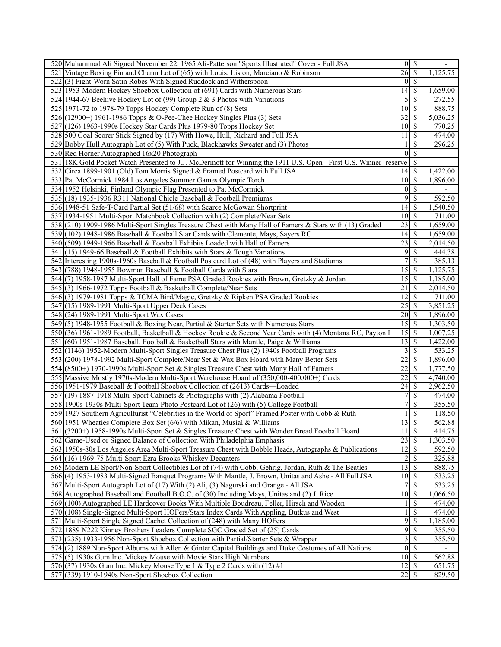| 520 Muhammad Ali Signed November 22, 1965 Ali-Patterson "Sports Illustrated" Cover - Full JSA                                                                          |                            | $0 \mid \mathsf{S}$      |                          |
|------------------------------------------------------------------------------------------------------------------------------------------------------------------------|----------------------------|--------------------------|--------------------------|
| 521 Vintage Boxing Pin and Charm Lot of (65) with Louis, Liston, Marciano & Robinson                                                                                   | $26 \mid$ \$               |                          | 1,125.75                 |
| 522(3) Fight-Worn Satin Robes With Signed Ruddock and Witherspoon                                                                                                      |                            | $0\sqrt{s}$              | $\overline{a}$           |
| 523 1953-Modern Hockey Shoebox Collection of (691) Cards with Numerous Stars                                                                                           | $\overline{14}$ \$         |                          | 1,659.00                 |
| 524 1944-67 Beehive Hockey Lot of (99) Group 2 & 3 Photos with Variations                                                                                              | 5                          | $\mathcal{S}$            | 272.55                   |
| 525 1971-72 to 1978-79 Topps Hockey Complete Run of (8) Sets                                                                                                           |                            |                          | 888.75                   |
| 526 (12900+) 1961-1986 Topps & O-Pee-Chee Hockey Singles Plus (3) Sets                                                                                                 | 32                         | $\mathcal{S}$            | 5,036.25                 |
| 527 (126) 1963-1990s Hockey Star Cards Plus 1979-80 Topps Hockey Set                                                                                                   | 10                         | \$                       | 770.25                   |
| 528 500 Goal Scorer Stick Signed by (17) With Howe, Hull, Richard and Full JSA                                                                                         | 11                         | \$                       | 474.00                   |
| 529 Bobby Hull Autograph Lot of (5) With Puck, Blackhawks Sweater and (3) Photos                                                                                       |                            | <sup>\$</sup>            | 296.25                   |
| 530 Red Horner Autographed 16x20 Photograph                                                                                                                            | $\theta$                   | <sup>\$</sup>            | $\overline{\phantom{a}}$ |
| 531 18K Gold Pocket Watch Presented to J.J. McDermott for Winning the 1911 U.S. Open - First U.S. Winner [reserve                                                      |                            | \$                       |                          |
| 532 Circa 1899-1901 (Old) Tom Morris Signed & Framed Postcard with Full JSA                                                                                            |                            |                          | 1,422.00                 |
| 533 Pat McCormick 1984 Los Angeles Summer Games Olympic Torch                                                                                                          | $10 \mid S$                |                          | 1,896.00                 |
| 534 1952 Helsinki, Finland Olympic Flag Presented to Pat McCormick                                                                                                     | $\overline{0}$             | $\overline{\mathcal{S}}$ | $\overline{\phantom{a}}$ |
| 535 (18) 1935-1936 R311 National Chicle Baseball & Football Premiums                                                                                                   | 9                          | $\mathcal{S}$            | 592.50                   |
| 536 1948-51 Safe-T-Card Partial Set (51/68) with Scarce McGowan Shortprint                                                                                             | 14                         | \$                       | 1,540.50                 |
| 537 1934-1951 Multi-Sport Matchbook Collection with (2) Complete/Near Sets                                                                                             | $10\overline{\smash{)}\,}$ |                          | 711.00                   |
| 538 (210) 1909-1986 Multi-Sport Singles Treasure Chest with Many Hall of Famers & Stars with (13) Graded                                                               | 23                         | \$                       | 1,659.00                 |
| 539 (102) 1948-1986 Baseball & Football Star Cards with Clemente, Mays, Sayers RC                                                                                      | $14\overline{3}$           |                          | 1,659.00                 |
| 540(509) 1949-1966 Baseball & Football Exhibits Loaded with Hall of Famers                                                                                             | 23                         | -\$                      | 2,014.50                 |
| 541 (15) 1949-66 Baseball & Football Exhibits with Stars & Tough Variations                                                                                            | 9                          | $\mathbf{\$}$            | 444.38                   |
| 542 Interesting 1900s-1960s Baseball & Football Postcard Lot of (48) with Players and Stadiums                                                                         | 7                          | \$                       | 385.13                   |
| 543 $(788)$ 1948-1955 Bowman Baseball & Football Cards with Stars                                                                                                      | 15                         | \$                       | 1,125.75                 |
| 544(7) 1958-1987 Multi-Sport Hall of Fame PSA Graded Rookies with Brown, Gretzky & Jordan                                                                              | 15                         | \$                       | 1,185.00                 |
| 545(3) 1966-1972 Topps Football & Basketball Complete/Near Sets                                                                                                        | 21                         | S                        | 2,014.50                 |
| 546(3) 1979-1981 Topps & TCMA Bird/Magic, Gretzky & Ripken PSA Graded Rookies                                                                                          | 12                         | \$                       | 711.00                   |
| 547 (15) 1989-1991 Multi-Sport Upper Deck Cases                                                                                                                        | 25                         | \$                       | 3,851.25                 |
| 548 (24) 1989-1991 Multi-Sport Wax Cases                                                                                                                               |                            |                          | 1,896.00                 |
| 549 (5) 1948-1955 Football & Boxing Near, Partial & Starter Sets with Numerous Stars                                                                                   |                            |                          | 1,303.50                 |
| 550 (36) 1961-1989 Football, Basketball & Hockey Rookie & Second Year Cards with (4) Montana RC, Payton                                                                | 15                         | \$                       | 1,007.25                 |
|                                                                                                                                                                        | 13                         | \$                       |                          |
| 551 (60) 1951-1987 Baseball, Football & Basketball Stars with Mantle, Paige & Williams                                                                                 | 3                          | S                        | 1,422.00<br>533.25       |
| 552 (1146) 1952-Modern Multi-Sport Singles Treasure Chest Plus (2) 1940s Football Programs                                                                             | 22                         | $\mathcal{S}$            |                          |
| 553 (200) 1978-1992 Multi-Sport Complete/Near Set & Wax Box Hoard with Many Better Sets                                                                                | 22                         | -\$                      | 1,896.00<br>1,777.50     |
| 554 (8500+) 1970-1990s Multi-Sport Set & Singles Treasure Chest with Many Hall of Famers                                                                               | 22                         | - \$                     |                          |
| 555 Massive Mostly 1970s-Modern Multi-Sport Warehouse Hoard of (350,000-400,000+) Cards<br>556 1951-1979 Baseball & Football Shoebox Collection of (2613) Cards—Loaded | 24                         | $\mathcal{S}$            | 4,740.00<br>2,962.50     |
|                                                                                                                                                                        | 7                          |                          |                          |
| 557 (19) 1887-1918 Multi-Sport Cabinets & Photographs with (2) Alabama Football                                                                                        | 7                          | \$                       | 474.00                   |
| 558 1900s-1930s Multi-Sport Team-Photo Postcard Lot of (26) with (5) College Football                                                                                  |                            | \$                       | 355.50                   |
| 559 1927 Southern Agriculturist "Celebrities in the World of Sport" Framed Poster with Cobb & Ruth                                                                     |                            | $\overline{\mathcal{S}}$ | 118.50                   |
| 560 1951 Wheaties Complete Box Set (6/6) with Mikan, Musial & Williams                                                                                                 | $13 \mid S$                |                          | 562.88                   |
| 561 (3200+) 1958-1990s Multi-Sport Set & Singles Treasure Chest with Wonder Bread Football Hoard                                                                       | 11                         | $\sqrt{s}$               | 414.75                   |
| 562 Game-Used or Signed Balance of Collection With Philadelphia Emphasis                                                                                               | 23                         | \$                       | 1,303.50                 |
| 563 1950s-80s Los Angeles Area Multi-Sport Treasure Chest with Bobble Heads, Autographs & Publications                                                                 | $\overline{12}$            | $\sqrt{s}$               | 592.50                   |
| 564 (16) 1969-75 Multi-Sport Ezra Brooks Whiskey Decanters                                                                                                             | 2                          | $\overline{\mathcal{S}}$ | 325.88                   |
| 565 Modern LE Sport/Non-Sport Collectibles Lot of (74) with Cobb, Gehrig, Jordan, Ruth & The Beatles                                                                   | 13                         | \$                       | 888.75                   |
| 566(4) 1953-1983 Multi-Signed Banquet Programs With Mantle, J. Brown, Unitas and Ashe - All Full JSA                                                                   | $\overline{10}$ \$         |                          | 533.25                   |
| 567 Multi-Sport Autograph Lot of (17) With (2) Ali, (3) Nagurski and Grange - All JSA                                                                                  | 7                          | $\overline{\mathcal{S}}$ | 533.25                   |
| 568 Autographed Baseball and Football B.O.C. of (30) Including Mays, Unitas and (2) J. Rice                                                                            | 10                         | \$                       | 1,066.50                 |
| 569 (100) Autographed LE Hardcover Books With Multiple Boudreau, Feller, Hirsch and Wooden                                                                             |                            | $\overline{\mathcal{S}}$ | 474.00                   |
| 570 (108) Single-Signed Multi-Sport HOFers/Stars Index Cards With Appling, Butkus and West                                                                             |                            | $\mathcal{S}$            | 474.00                   |
| 571 Multi-Sport Single Signed Cachet Collection of (248) with Many HOFers                                                                                              | 9                          | $\mathcal{S}$            | 1,185.00                 |
| 572 1889 N222 Kinney Brothers Leaders Complete SGC Graded Set of (25) Cards                                                                                            | 9                          | $\sqrt{S}$               | 355.50                   |
| 573 (235) 1933-1956 Non-Sport Shoebox Collection with Partial/Starter Sets & Wrapper                                                                                   |                            | 3S                       | 355.50                   |
| $574(2)$ 1889 Non-Sport Albums with Allen & Ginter Capital Buildings and Duke Costumes of All Nations                                                                  |                            | $0\sqrt{s}$              |                          |
| 575(5) 1930s Gum Inc. Mickey Mouse with Movie Stars High Numbers                                                                                                       | $10 \mid S$                |                          | 562.88                   |
| 576(37) 1930s Gum Inc. Mickey Mouse Type 1 & Type 2 Cards with $(12)$ #1                                                                                               | $12 \mid$ \$               |                          | 651.75                   |
| 577 (339) 1910-1940s Non-Sport Shoebox Collection                                                                                                                      |                            |                          | 829.50                   |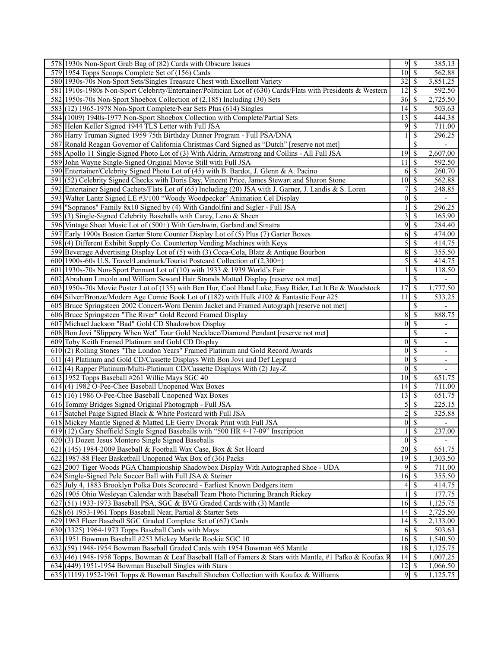| 578 1930s Non-Sport Grab Bag of (82) Cards with Obscure Issues                                                |                         | $9 \mid$ \$                | 385.13                   |
|---------------------------------------------------------------------------------------------------------------|-------------------------|----------------------------|--------------------------|
| 579 1954 Topps Scoops Complete Set of (156) Cards                                                             |                         | $10\overline{\smash{)}\,}$ | 562.88                   |
| 580 1930s-70s Non-Sport Sets/Singles Treasure Chest with Excellent Variety                                    |                         | $32\overline{3}$           | 3,851.25                 |
| 581 1910s-1980s Non-Sport Celebrity/Entertainer/Politician Lot of (630) Cards/Flats with Presidents & Western |                         | $12\overline{3}$           | 592.50                   |
| 582 1950s-70s Non-Sport Shoebox Collection of (2,185) Including (30) Sets                                     |                         | $36 \mid$ \$               | 2,725.50                 |
| 583(12) 1965-1978 Non-Sport Complete/Near Sets Plus (614) Singles                                             |                         | $14$ $\sqrt{5}$            | 503.63                   |
| 584 (1009) 1940s-1977 Non-Sport Shoebox Collection with Complete/Partial Sets                                 | 13                      | <sup>\$</sup>              | 444.38                   |
| 585 Helen Keller Signed 1944 TLS Letter with Full JSA                                                         | 9                       | $\overline{\mathcal{S}}$   | 711.00                   |
| 586 Harry Truman Signed 1959 75th Birthday Dinner Program - Full PSA/DNA                                      |                         | $\mathcal{S}$              | 296.25                   |
| 587 Ronald Reagan Governor of California Christmas Card Signed as "Dutch" [reserve not met]                   |                         | \$                         |                          |
| 588 Apollo 11 Single-Signed Photo Lot of (3) With Aldrin, Armstrong and Collins - All Full JSA                | 19                      | $\mathbb{S}$               | 2,607.00                 |
| 589 John Wayne Single-Signed Original Movie Still with Full JSA                                               | 11                      | \$                         | 592.50                   |
| 590 Entertainer/Celebrity Signed Photo Lot of (45) with B. Bardot, J. Glenn & A. Pacino                       |                         | $6 \overline{\smash{)}\,}$ | 260.70                   |
| 591 (52) Celebrity Signed Checks with Doris Day, Vincent Price, James Stewart and Sharon Stone                |                         | $10 \mid$ \$               | 562.88                   |
| 592 Entertainer Signed Cachets/Flats Lot of (65) Including (20) JSA with J. Garner, J. Landis & S. Loren      | $\overline{7}$          | $\overline{\mathcal{S}}$   | 248.85                   |
| 593 Walter Lantz Signed LE #3/100 "Woody Woodpecker" Animation Cel Display                                    | $\boldsymbol{0}$        | $\mathbb{S}$               | $\overline{\phantom{a}}$ |
| 594 "Sopranos" Family 8x10 Signed by (4) With Gandolfini and Sigler - Full JSA                                |                         | \$                         | 296.25                   |
| 595(3) Single-Signed Celebrity Baseballs with Carey, Leno & Sheen                                             | $\overline{\mathbf{3}}$ | $\mathcal{S}$              | 165.90                   |
| 596 Vintage Sheet Music Lot of (500+) With Gershwin, Garland and Sinatra                                      | 9                       | \$                         | 284.40                   |
| 597 Early 1900s Boston Garter Store Counter Display Lot of (5) Plus (7) Garter Boxes                          | 6                       | \$                         | 474.00                   |
| 598(4) Different Exhibit Supply Co. Countertop Vending Machines with Keys                                     | 5                       | $\sqrt{s}$                 | 414.75                   |
| 599 Beverage Advertising Display Lot of (5) with (3) Coca-Cola, Blatz & Antique Bourbon                       | 8                       | \$                         | 355.50                   |
| 600 1900s-60s U.S. Travel/Landmark/Tourist Postcard Collection of (2,300+)                                    | 5                       | \$                         | 414.75                   |
| 601 1930s-70s Non-Sport Pennant Lot of (10) with 1933 & 1939 World's Fair                                     |                         | \$                         | 118.50                   |
| 602 Abraham Lincoln and William Seward Hair Strands Matted Display [reserve not met]                          |                         | $\overline{\mathbb{S}}$    |                          |
| 603 1950s-70s Movie Poster Lot of (135) with Ben Hur, Cool Hand Luke, Easy Rider, Let It Be & Woodstock       | 17                      | $\overline{\mathcal{S}}$   | 1,777.50                 |
| 604 Silver/Bronze/Modern Age Comic Book Lot of (182) with Hulk #102 & Fantastic Four #25                      | 11                      | $\overline{\mathcal{S}}$   | 533.25                   |
| 605 Bruce Springsteen 2002 Concert-Worn Denim Jacket and Framed Autograph [reserve not met]                   |                         | \$                         |                          |
| 606 Bruce Springsteen "The River" Gold Record Framed Display                                                  | $8\,$                   | \$                         | 888.75                   |
| 607 Michael Jackson "Bad" Gold CD Shadowbox Display                                                           |                         | $\overline{0 S}$           | $\overline{\phantom{a}}$ |
| 608 Bon Jovi "Slippery When Wet" Tour Gold Necklace/Diamond Pendant [reserve not met]                         |                         | $\overline{\mathcal{S}}$   | $\overline{\phantom{a}}$ |
| 609 Toby Keith Framed Platinum and Gold CD Display                                                            | 0                       | $\overline{\mathcal{S}}$   | $\overline{\phantom{0}}$ |
| 610 (2) Rolling Stones "The London Years" Framed Platinum and Gold Record Awards                              |                         | $0\sqrt{5}$                | $\overline{\phantom{0}}$ |
| 611 (4) Platinum and Gold CD/Cassette Displays With Bon Jovi and Def Leppard                                  | $\overline{0}$          | $\overline{\mathcal{S}}$   | $\overline{\phantom{a}}$ |
| 612(4) Rapper Platinum/Multi-Platinum CD/Cassette Displays With (2) Jay-Z                                     |                         | $0\vert S$                 |                          |
| 613 1952 Topps Baseball #261 Willie Mays SGC 40                                                               |                         | $\overline{10}$ \$         | 651.75                   |
| 614 (4) 1982 O-Pee-Chee Baseball Unopened Wax Boxes                                                           |                         | $\overline{14}$ \$         | 711.00                   |
| 615(16) 1986 O-Pee-Chee Baseball Unopened Wax Boxes                                                           |                         | 13S                        | 651.75                   |
| 616 Tommy Bridges Signed Original Photograph - Full JSA                                                       | 5                       | $\mathcal{S}$              | 225.15                   |
| 617 Satchel Paige Signed Black & White Postcard with Full JSA                                                 | $\overline{2}$          | $\overline{\$}$            | 325.88                   |
| 618 Mickey Mantle Signed & Matted LE Gerry Dvorak Print with Full JSA                                         |                         | $0\sqrt{S}$                |                          |
| 619 (12) Gary Sheffield Single Signed Baseballs with "500 HR 4-17-09" Inscription                             |                         | $\overline{\mathcal{S}}$   | 237.00                   |
| 620(3) Dozen Jesus Montero Single Signed Baseballs                                                            |                         | $0\sqrt{S}$                |                          |
| 621 (145) 1984-2009 Baseball & Football Wax Case, Box & Set Hoard                                             |                         | $\overline{20}$ \$         | 651.75                   |
| 622 1987-88 Fleer Basketball Unopened Wax Box of (36) Packs                                                   |                         | $\overline{19}$ \$         | 1,303.50                 |
| 623 2007 Tiger Woods PGA Championship Shadowbox Display With Autographed Shoe - UDA                           | 9                       | $\mathcal{S}$              | 711.00                   |
| 624 Single-Signed Pele Soccer Ball with Full JSA & Steiner                                                    |                         |                            | 355.50                   |
| 625 July 4, 1883 Brooklyn Polka Dots Scorecard - Earliest Known Dodgers item                                  | 4                       | $\mathcal{S}$              | 414.75                   |
| 626 1905 Ohio Wesleyan Calendar with Baseball Team Photo Picturing Branch Rickey                              |                         | $\overline{\mathcal{S}}$   | 177.75                   |
| 627 (51) 1933-1973 Baseball PSA, SGC & BVG Graded Cards with (3) Mantle                                       |                         |                            | 1,125.75                 |
| $628(6)$ 1953-1961 Topps Baseball Near, Partial & Starter Sets                                                |                         | $14\overline{3}$           | 2,725.50                 |
| 629 1963 Fleer Baseball SGC Graded Complete Set of (67) Cards                                                 |                         |                            | 2,133.00                 |
| 630 (3325) 1964-1973 Topps Baseball Cards with Mays                                                           |                         | $6 \overline{\smash{)}\,}$ | 503.63                   |
| 631 1951 Bowman Baseball #253 Mickey Mantle Rookie SGC 10                                                     |                         | $16 \mid$ \$               | 1,540.50                 |
| 632(59) 1948-1954 Bowman Baseball Graded Cards with 1954 Bowman #65 Mantle                                    |                         |                            | $1,12\overline{5.75}$    |
| 633 (46) 1948-1958 Topps, Bowman & Leaf Baseball Hall of Famers & Stars with Mantle, #1 Pafko & Koufax R      |                         | $14 \mid$ \$               | 1,007.25                 |
| 634 (449) 1951-1954 Bowman Baseball Singles with Stars                                                        |                         | $12 \mid$ \$               | 1,066.50                 |
| $635(1119)$ 1952-1961 Topps & Bowman Baseball Shoebox Collection with Koufax & Williams                       |                         | $9$ \ $\frac{1}{2}$        | 1,125.75                 |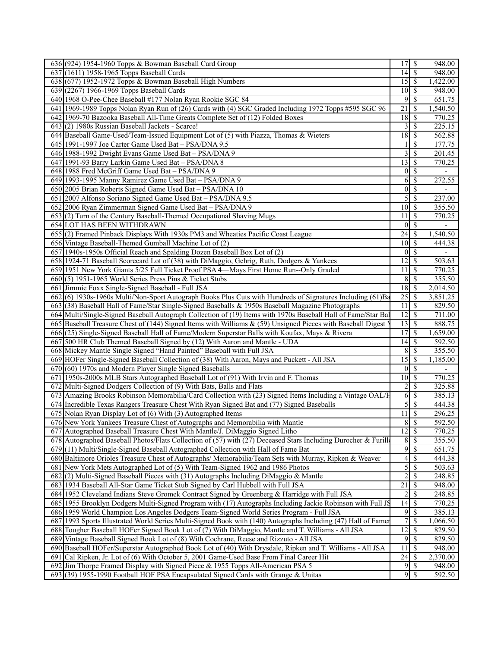| 636 (924) 1954-1960 Topps & Bowman Baseball Card Group                                                         | 17                              | \$                       | 948.00                   |
|----------------------------------------------------------------------------------------------------------------|---------------------------------|--------------------------|--------------------------|
| 637 (1611) 1958-1965 Topps Baseball Cards                                                                      | $14\overline{3}$                |                          | 948.00                   |
| 638 (677) 1952-1972 Topps & Bowman Baseball High Numbers                                                       | $15 \,$ \ $\sqrt{3}$            |                          | 1,422.00                 |
| 639 (2267) 1966-1969 Topps Baseball Cards                                                                      | $\overline{10}$ \$              |                          | 948.00                   |
| 640 1968 O-Pee-Chee Baseball #177 Nolan Ryan Rookie SGC 84                                                     | 9                               | -S                       | 651.75                   |
| 641 1969-1989 Topps Nolan Ryan Run of (26) Cards with (4) SGC Graded Including 1972 Topps #595 SGC 96          | 21                              | \$                       | 1,540.50                 |
| 642 1969-70 Bazooka Baseball All-Time Greats Complete Set of (12) Folded Boxes                                 | 18S                             |                          | 770.25                   |
| 643(2) 1980s Russian Baseball Jackets - Scarce!                                                                | $\overline{3}$                  | S                        | 225.15                   |
| 644 Baseball Game-Used/Team-Issued Equipment Lot of (5) with Piazza, Thomas & Wieters                          | 18S                             |                          | 562.88                   |
| 645 1991-1997 Joe Carter Game Used Bat - PSA/DNA 9.5                                                           |                                 | <sup>\$</sup>            | 177.75                   |
| 646 1988-1992 Dwight Evans Game Used Bat - PSA/DNA 9                                                           | 3                               | \$                       | 201.45                   |
| 647 1991-93 Barry Larkin Game Used Bat - PSA/DNA 8                                                             | $\overline{13}$ $\overline{\$}$ |                          | 770.25                   |
| 648 1988 Fred McGriff Game Used Bat - PSA/DNA 9                                                                |                                 | $0 \mid \mathsf{S}$      |                          |
| 649 1993-1995 Manny Ramirez Game Used Bat - PSA/DNA 9                                                          | 6                               | $\mathbb{S}$             | 272.55                   |
| 650 2005 Brian Roberts Signed Game Used Bat - PSA/DNA 10                                                       |                                 | $\overline{0}$ \$        | $\overline{a}$           |
| 651 2007 Alfonso Soriano Signed Game Used Bat - PSA/DNA 9.5                                                    | 5                               | $\overline{\mathcal{S}}$ | 237.00                   |
| 652 2006 Ryan Zimmerman Signed Game Used Bat - PSA/DNA 9                                                       | $10$   \$                       |                          | 355.50                   |
| 653(2) Turn of the Century Baseball-Themed Occupational Shaving Mugs                                           | 11                              | \$                       | 770.25                   |
| <b>654 LOT HAS BEEN WITHDRAWN</b>                                                                              |                                 | $\overline{0 S}$         | $\overline{\phantom{a}}$ |
| 655 (2) Framed Pinback Displays With 1930s PM3 and Wheaties Pacific Coast League                               | 24                              | l \$                     | 1,540.50                 |
| 656 Vintage Baseball-Themed Gumball Machine Lot of (2)                                                         | $10\overline{\smash{)}\,}$      |                          | 444.38                   |
|                                                                                                                |                                 | $0 \mid S$               |                          |
| 657 1940s-1950s Official Reach and Spalding Dozen Baseball Box Lot of (2)                                      |                                 |                          |                          |
| 658 1924-71 Baseball Scorecard Lot of (38) with DiMaggio, Gehrig, Ruth, Dodgers & Yankees                      | $12 \mid$ \$                    |                          | 503.63                   |
| 659 1951 New York Giants 5/25 Full Ticket Proof PSA 4—Mays First Home Run--Only Graded                         | 11                              | \$                       | 770.25                   |
| $660(5)$ 1951-1965 World Series Press Pins & Ticket Stubs                                                      |                                 | 8S                       | 355.50                   |
| 661 Jimmie Foxx Single-Signed Baseball - Full JSA                                                              | $18 \overline{\smash{)}\,5}$    |                          | 2,014.50                 |
| 662(6) 1930s-1960s Multi/Non-Sport Autograph Books Plus Cuts with Hundreds of Signatures Including (61)Ba      | $25 \mid$ \$                    |                          | 3,851.25                 |
| 663 (38) Baseball Hall of Fame/Star Single-Signed Baseballs & 1950s Baseball Magazine Photographs              | 11                              | $\overline{\mathcal{S}}$ | 829.50                   |
| 664 Multi/Single-Signed Baseball Autograph Collection of (19) Items with 1970s Baseball Hall of Fame/Star Bal  | $12 \mid$ \$                    |                          | 711.00                   |
| 665 Baseball Treasure Chest of (144) Signed Items with Williams & (59) Unsigned Pieces with Baseball Digest N  | $\overline{13}$ $\overline{\$}$ |                          | 888.75                   |
| 666 (25) Single-Signed Baseball Hall of Fame/Modern Superstar Balls with Koufax, Mays & Rivera                 | $\overline{17}$                 | $\overline{\mathcal{S}}$ | 1,659.00                 |
| 667 500 HR Club Themed Baseball Signed by (12) With Aaron and Mantle - UDA                                     | $14 \overline{\smash{)}\,}$     |                          | 592.50                   |
| 668 Mickey Mantle Single Signed "Hand Painted" Baseball with Full JSA                                          | 8                               | $\overline{\mathbf{s}}$  | 355.50                   |
| 669 HOFer Single-Signed Baseball Collection of (38) With Aaron, Mays and Puckett - All JSA                     | $15\overline{3}$                |                          | 1,185.00                 |
| 670 (60) 1970s and Modern Player Single Signed Baseballs                                                       |                                 | $0 \mid S$               |                          |
| 671 1950s-2000s MLB Stars Autographed Baseball Lot of (91) With Irvin and F. Thomas                            | $\overline{10}$ \$              |                          | 770.25                   |
| 672 Multi-Signed Dodgers Collection of (9) With Bats, Balls and Flats                                          |                                 | $2\sqrt{5}$              | 325.88                   |
| 673 Amazing Brooks Robinson Memorabilia/Card Collection with (23) Signed Items Including a Vintage OAL/F       | $\overline{6}$                  | $\overline{\mathcal{S}}$ | 385.13                   |
| 674 Incredible Texas Rangers Treasure Chest With Ryan Signed Bat and (77) Signed Baseballs                     | 5                               | $\overline{\mathcal{S}}$ | 444.38                   |
| 675 Nolan Ryan Display Lot of (6) With (3) Autographed Items                                                   | 11S                             |                          | 296.25                   |
| 676 New York Yankees Treasure Chest of Autographs and Memorabilia with Mantle                                  |                                 | 8S                       | 592.50                   |
| 677 Autographed Baseball Treasure Chest With Mantle/J. DiMaggio Signed Litho                                   | $12 \overline{\smash{\big)}\,}$ |                          | 770.25                   |
| 678 Autographed Baseball Photos/Flats Collection of (57) with (27) Deceased Stars Including Durocher & Furille |                                 | 8S                       | 355.50                   |
| 679(11) Multi/Single-Signed Baseball Autographed Collection with Hall of Fame Bat                              |                                 | 9s                       | 651.75                   |
| 680 Baltimore Orioles Treasure Chest of Autographs/ Memorabilia/Team Sets with Murray, Ripken & Weaver         | 4                               | \$                       | 444.38                   |
| 681 New York Mets Autographed Lot of (5) With Team-Signed 1962 and 1986 Photos                                 | 5                               | \$                       | 503.63                   |
| $682(2)$ Multi-Signed Baseball Pieces with (31) Autographs Including DiMaggio & Mantle                         | $\overline{c}$                  | \$                       | 248.85                   |
| 683 1934 Baseball All-Star Game Ticket Stub Signed by Carl Hubbell with Full JSA                               | $\overline{21}$                 | \$                       | 948.00                   |
| 684 1952 Cleveland Indians Steve Gromek Contract Signed by Greenberg & Harridge with Full JSA                  | 2                               | $\mathcal{S}$            | $\overline{248.85}$      |
| 685 1955 Brooklyn Dodgers Multi-Signed Program with (17) Autographs Including Jackie Robinson with Full JS     | $14 \overline{\smash{)}\,}$     |                          | 770.25                   |
| 686 1959 World Champion Los Angeles Dodgers Team-Signed World Series Program - Full JSA                        | 9                               | \$                       | 385.13                   |
| 687 1993 Sports Illustrated World Series Multi-Signed Book with (140) Autographs Including (47) Hall of Famer  | 7                               | $\mathbb S$              | 1,066.50                 |
| 688 Tougher Baseball HOFer Signed Book Lot of (7) With DiMaggio, Mantle and T. Williams - All JSA              | 12                              | $\sqrt{S}$               | 829.50                   |
| 689 Vintage Baseball Signed Book Lot of (8) With Cochrane, Reese and Rizzuto - All JSA                         |                                 | 9s                       | 829.50                   |
| 690 Baseball HOFer/Superstar Autographed Book Lot of (40) With Drysdale, Ripken and T. Williams - All JSA      | 11                              | \$                       | 948.00                   |
| 691 Cal Ripken, Jr. Lot of (6) With October 5, 2001 Game-Used Base From Final Career Hit                       |                                 |                          | 2,370.00                 |
| 692 Jim Thorpe Framed Display with Signed Piece & 1955 Topps All-American PSA 5                                |                                 |                          | 948.00                   |
| 693 (39) 1955-1990 Football HOF PSA Encapsulated Signed Cards with Grange & Unitas                             |                                 | 95                       | 592.50                   |
|                                                                                                                |                                 |                          |                          |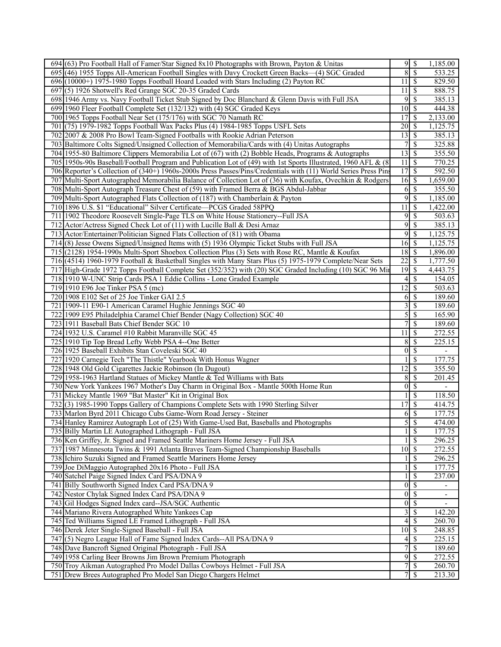| 694 (63) Pro Football Hall of Famer/Star Signed 8x10 Photographs with Brown, Payton & Unitas                    |                             | 95                         | 1,185.00                 |
|-----------------------------------------------------------------------------------------------------------------|-----------------------------|----------------------------|--------------------------|
| 695 (46) 1955 Topps All-American Football Singles with Davy Crockett Green Backs—(4) SGC Graded                 | 8                           | $\overline{\mathcal{S}}$   | 533.25                   |
| 696 (10000+) 1975-1980 Topps Football Hoard Loaded with Stars Including (2) Payton RC                           | $11 \,$ \$                  |                            | 829.50                   |
| 697 (5) 1926 Shotwell's Red Grange SGC 20-35 Graded Cards                                                       | 11                          | $\mathbb{S}$               | 888.75                   |
| 698 1946 Army vs. Navy Football Ticket Stub Signed by Doc Blanchard & Glenn Davis with Full JSA                 |                             | $9$ \ $\frac{1}{2}$        | 385.13                   |
| 699 1960 Fleer Football Complete Set (132/132) with (4) SGC Graded Keys                                         | $10 \mid$ \$                |                            | 444.38                   |
| 700 1965 Topps Football Near Set (175/176) with SGC 70 Namath RC                                                | 17                          | $\overline{\mathcal{S}}$   | 2,133.00                 |
|                                                                                                                 | $\overline{20}$ \$          |                            |                          |
| 701 (75) 1979-1982 Topps Football Wax Packs Plus (4) 1984-1985 Topps USFL Sets                                  |                             |                            | 1,125.75                 |
| 702 2007 & 2008 Pro Bowl Team-Signed Footballs with Rookie Adrian Peterson                                      | $13 \mid$ \$                |                            | 385.13                   |
| 703 Baltimore Colts Signed/Unsigned Collection of Memorabilia/Cards with (4) Unitas Autographs                  | 7                           | $\mathcal{S}$              | 325.88                   |
| 704 1955-80 Baltimore Clippers Memorabilia Lot of (67) with (2) Bobble Heads, Programs & Autographs             | $13 \mid$ \$                |                            | 355.50                   |
| 705 1950s-90s Baseball/Football Program and Publication Lot of (49) with 1st Sports Illustrated, 1960 AFL & (8  | $11 \mid$ \$                |                            | 770.25                   |
| 706 Reporter's Collection of (340+) 1960s-2000s Press Passes/Pins/Credentials with (11) World Series Press Pins | 17S                         |                            | 592.50                   |
| 707 Multi-Sport Autographed Memorabilia Balance of Collection Lot of (36) with Koufax, Ovechkin & Rodgers       | $16 \,$ \$                  |                            | 1,659.00                 |
| 708 Multi-Sport Autograph Treasure Chest of (59) with Framed Berra & BGS Abdul-Jabbar                           | 6                           | $\overline{\mathcal{S}}$   | 355.50                   |
| 709 Multi-Sport Autographed Flats Collection of (187) with Chamberlain & Payton                                 | 9                           | $\mathcal{S}$              | 1,185.00                 |
| 710 1896 U.S. \$1 "Educational" Silver Certificate—PCGS Graded 58PPQ                                            | 11                          | $\mathcal{S}$              | 1,422.00                 |
| 711 1902 Theodore Roosevelt Single-Page TLS on White House Stationery--Full JSA                                 |                             | $9\sqrt{5}$                | 503.63                   |
| 712 Actor/Actress Signed Check Lot of (11) with Lucille Ball & Desi Arnaz                                       | 9                           | $\overline{\mathcal{S}}$   | 385.13                   |
| 713 Actor/Entertainer/Politician Signed Flats Collection of (81) with Obama                                     |                             | $9 \overline{\smash{)}\,}$ | 1,125.75                 |
| 714(8) Jesse Owens Signed/Unsigned Items with (5) 1936 Olympic Ticket Stubs with Full JSA                       | $16 \overline{\smash{)}\,}$ |                            | 1,125.75                 |
| 715 (2128) 1954-1990s Multi-Sport Shoebox Collection Plus (3) Sets with Rose RC, Mantle & Koufax                | $18 \mid$ \$                |                            | 1,896.00                 |
|                                                                                                                 | $22 \mid$ \$                |                            |                          |
| 716 (4514) 1960-1979 Football & Basketball Singles with Many Stars Plus (5) 1975-1979 Complete/Near Sets        |                             |                            | 1,777.50                 |
| 717 High-Grade 1972 Topps Football Complete Set (352/352) with (20) SGC Graded Including (10) SGC 96 Min        |                             |                            | 4,443.75                 |
| 718 1910 W-UNC Strip Cards PSA 1 Eddie Collins - Lone Graded Example                                            | 4                           | $\overline{\mathcal{S}}$   | 154.05                   |
| 719 1910 E96 Joe Tinker PSA 5 (mc)                                                                              | $12 \mid$ \$                |                            | 503.63                   |
| 720 1908 E102 Set of 25 Joe Tinker GAI 2.5                                                                      | 6                           | $\overline{\mathcal{S}}$   | 189.60                   |
| 721 1909-11 E90-1 American Caramel Hughie Jennings SGC 40                                                       | 3                           | \$                         | 189.60                   |
| 722 1909 E95 Philadelphia Caramel Chief Bender (Nagy Collection) SGC 40                                         |                             | 5s                         | 165.90                   |
| 723 1911 Baseball Bats Chief Bender SGC 10                                                                      | $\overline{7}$              | $\overline{\mathcal{S}}$   | 189.60                   |
| 724 1932 U.S. Caramel #10 Rabbit Maranville SGC 45                                                              | 11                          | $\sqrt{s}$                 | 272.55                   |
| 725 1910 Tip Top Bread Lefty Webb PSA 4--One Better                                                             |                             | 8S                         | 225.15                   |
| 726 1925 Baseball Exhibits Stan Coveleski SGC 40                                                                | $\overline{0}$              | $\overline{\mathcal{S}}$   | $\overline{\phantom{a}}$ |
| 727 1920 Carnegie Tech "The Thistle" Yearbook With Honus Wagner                                                 |                             | \$                         | 177.75                   |
| 728 1948 Old Gold Cigarettes Jackie Robinson (In Dugout)                                                        | 12                          | $\sqrt{S}$                 | 355.50                   |
| 729 1958-1963 Hartland Statues of Mickey Mantle & Ted Williams with Bats                                        | $8\,$                       | $\overline{\mathcal{S}}$   | 201.45                   |
| 730 New York Yankees 1967 Mother's Day Charm in Original Box - Mantle 500th Home Run                            | $\overline{0}$              | \$                         |                          |
| 731 Mickey Mantle 1969 "Bat Master" Kit in Original Box                                                         |                             | $\overline{\mathcal{S}}$   | 118.50                   |
| 732(3) 1985-1990 Topps Gallery of Champions Complete Sets with 1990 Sterling Silver                             | 17                          | $\overline{\mathcal{S}}$   | 414.75                   |
|                                                                                                                 |                             |                            |                          |
| 733 Marlon Byrd 2011 Chicago Cubs Game-Worn Road Jersey - Steiner                                               |                             | $6 \mid$ \$                | 177.75                   |
| 734 Hanley Ramirez Autograph Lot of (25) With Game-Used Bat, Baseballs and Photographs                          |                             | $\overline{5 }$            | 474.00                   |
| 735 Billy Martin LE Autographed Lithograph - Full JSA                                                           |                             | $\sqrt{3}$                 | 177.75                   |
| 736 Ken Griffey, Jr. Signed and Framed Seattle Mariners Home Jersey - Full JSA                                  |                             | $\overline{\mathcal{S}}$   | 296.25                   |
| 737 1987 Minnesota Twins & 1991 Atlanta Braves Team-Signed Championship Baseballs                               | $10 \overline{\smash{)}\,}$ |                            | 272.55                   |
| 738 Ichiro Suzuki Signed and Framed Seattle Mariners Home Jersey                                                |                             | <sup>\$</sup>              | 296.25                   |
| 739 Joe DiMaggio Autographed 20x16 Photo - Full JSA                                                             |                             | \$                         | 177.75                   |
| 740 Satchel Paige Signed Index Card PSA/DNA 9                                                                   |                             | $\mathcal{S}$              | 237.00                   |
| 741 Billy Southworth Signed Index Card PSA/DNA 9                                                                |                             | $0\sqrt{3}$                |                          |
| 742 Nestor Chylak Signed Index Card PSA/DNA 9                                                                   |                             | $0\vert S$                 |                          |
| 743 Gil Hodges Signed Index card--JSA/SGC Authentic                                                             |                             | $0 \overline{\smash{3}}$   |                          |
| 744 Mariano Rivera Autographed White Yankees Cap                                                                |                             | $3\overline{3}$            | 142.20                   |
| 745 Ted Williams Signed LE Framed Lithograph - Full JSA                                                         | 4                           | \$                         | 260.70                   |
| 746 Derek Jeter Single-Signed Baseball - Full JSA                                                               | $\overline{10}$ s           |                            | 248.85                   |
| 747(5) Negro League Hall of Fame Signed Index Cards--All PSA/DNA 9                                              | 4                           | $\mathcal{S}$              | 225.15                   |
| 748 Dave Bancroft Signed Original Photograph - Full JSA                                                         | 7                           | \$                         | 189.60                   |
| 749 1958 Carling Beer Browns Jim Brown Premium Photograph                                                       |                             | $9 \mid \$$                | 272.55                   |
|                                                                                                                 |                             |                            |                          |
| 750 Troy Aikman Autographed Pro Model Dallas Cowboys Helmet - Full JSA                                          | 7                           | \$                         | 260.70                   |
| 751 Drew Brees Autographed Pro Model San Diego Chargers Helmet                                                  |                             | $\overline{7}$ s           | 213.30                   |